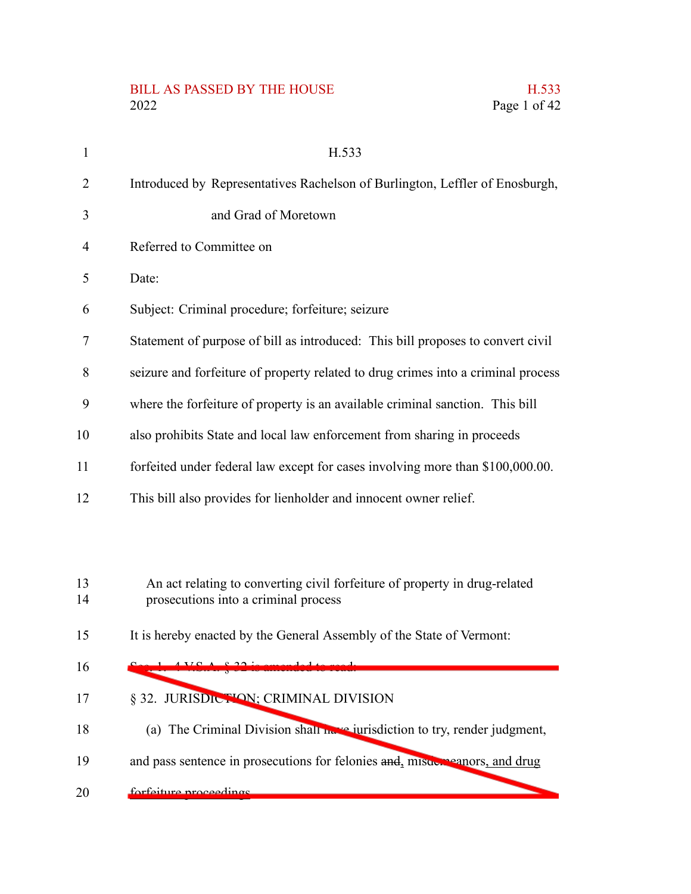#### BILL AS PASSED BY THE HOUSE H.533 2022 Page 1 of 42

| $\mathbf{1}$   | H.533                                                                                                              |
|----------------|--------------------------------------------------------------------------------------------------------------------|
| $\overline{2}$ | Introduced by Representatives Rachelson of Burlington, Leffler of Enosburgh,                                       |
| 3              | and Grad of Moretown                                                                                               |
| 4              | Referred to Committee on                                                                                           |
| 5              | Date:                                                                                                              |
| 6              | Subject: Criminal procedure; forfeiture; seizure                                                                   |
| 7              | Statement of purpose of bill as introduced: This bill proposes to convert civil                                    |
| 8              | seizure and forfeiture of property related to drug crimes into a criminal process                                  |
| 9              | where the forfeiture of property is an available criminal sanction. This bill                                      |
| 10             | also prohibits State and local law enforcement from sharing in proceeds                                            |
| 11             | forfeited under federal law except for cases involving more than \$100,000.00.                                     |
| 12             | This bill also provides for lienholder and innocent owner relief.                                                  |
|                |                                                                                                                    |
|                |                                                                                                                    |
| 13<br>14       | An act relating to converting civil forfeiture of property in drug-related<br>prosecutions into a criminal process |
| 15             | It is hereby enacted by the General Assembly of the State of Vermont:                                              |
| 16             | $ATCA$ $C$ $22$                                                                                                    |

§ 32. JURISDICTION; CRIMINAL DIVISION 17

Sec. 1. 4 V.S.A. § 32 is amended to read:

- (a) The Criminal Division shall have jurisdiction to try, render judgment, 18
- and pass sentence in prosecutions for felonies and, misdemeanors, and drug 19
- forfeiture proceedings. 20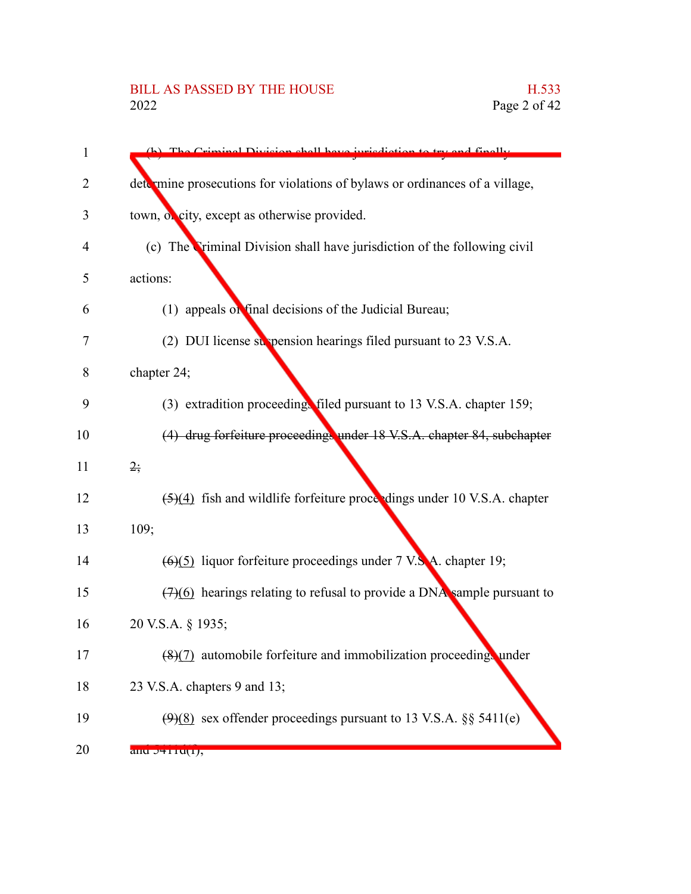# BILL AS PASSED BY THE HOUSE H.533<br>2022 Page 2 of 42

| 1              | (b) The Criminal Division shall have invigibition to try and finally        |
|----------------|-----------------------------------------------------------------------------|
| 2              | determine prosecutions for violations of bylaws or ordinances of a village, |
| 3              | town, of city, except as otherwise provided.                                |
| $\overline{4}$ | (c) The Triminal Division shall have jurisdiction of the following civil    |
| 5              | actions:                                                                    |
| 6              | (1) appeals of final decisions of the Judicial Bureau;                      |
| 7              | (2) DUI license suspension hearings filed pursuant to 23 V.S.A.             |
| 8              | chapter 24;                                                                 |
| 9              | (3) extradition proceeding filed pursuant to 13 V.S.A. chapter 159;         |
| 10             | (4) drug forfeiture proceedings under 18 V.S.A. chapter 84, subchapter      |
| 11             | $2\frac{1}{2}$                                                              |
| 12             | (5)(4) fish and wildlife forfeiture proceedings under 10 V.S.A. chapter     |
| 13             | 109;                                                                        |
| 14             | $(6)(5)$ liquor forfeiture proceedings under 7 V.S.A. chapter 19;           |
| 15             | $(7)(6)$ hearings relating to refusal to provide a DNA sample pursuant to   |
| 16             | 20 V.S.A. § 1935;                                                           |
| 17             | (8)(7) automobile forfeiture and immobilization proceedings under           |
| 18             | 23 V.S.A. chapters 9 and 13;                                                |
| 19             | $(9)(8)$ sex offender proceedings pursuant to 13 V.S.A. §§ 5411(e)          |
| 20             | and $J+11U(1)$ ,                                                            |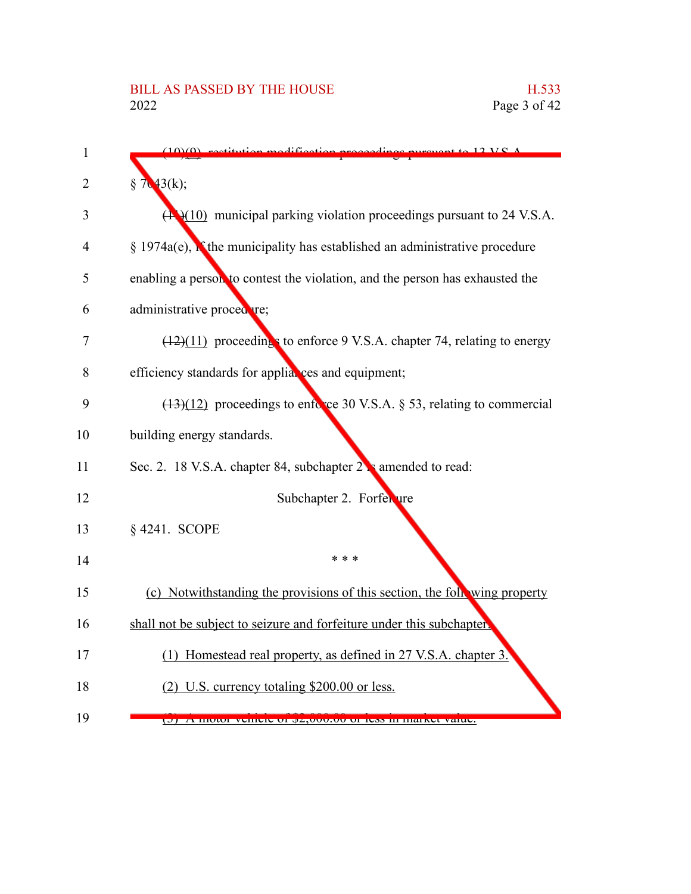| 1              | $12$ V C $\Lambda$                                                                          |
|----------------|---------------------------------------------------------------------------------------------|
| 2              | $7(43(k))$ ;<br>§                                                                           |
| 3              | $(\mathbf{A}\cdot\mathbf{H})$ municipal parking violation proceedings pursuant to 24 V.S.A. |
| $\overline{4}$ | $\S$ 1974a(e), if the municipality has established an administrative procedure              |
| 5              | enabling a person to contest the violation, and the person has exhausted the                |
| 6              | administrative procedure;                                                                   |
| 7              | $(12)(11)$ proceedings to enforce 9 V.S.A. chapter 74, relating to energy                   |
| 8              | efficiency standards for appliances and equipment;                                          |
| 9              | $(13)(12)$ proceedings to enforce 30 V.S.A. § 53, relating to commercial                    |
| 10             | building energy standards.                                                                  |
| 11             | Sec. 2. 18 V.S.A. chapter 84, subchapter 2 amended to read:                                 |
| 12             | Subchapter 2. Forfer ure                                                                    |
| 13             | § 4241. SCOPE                                                                               |
| 14             | * * *                                                                                       |
| 15             | (c) Notwithstanding the provisions of this section, the following property                  |
| 16             | shall not be subject to seizure and forfeiture under this subchapter.                       |
| 17             | (1) Homestead real property, as defined in 27 V.S.A. chapter 3.                             |
| 18             | (2) U.S. currency totaling \$200.00 or less.                                                |
| 19             | D) A MOIOI VENICIE OI (2,000.00 OI IESS IN MARCI VAIUE.                                     |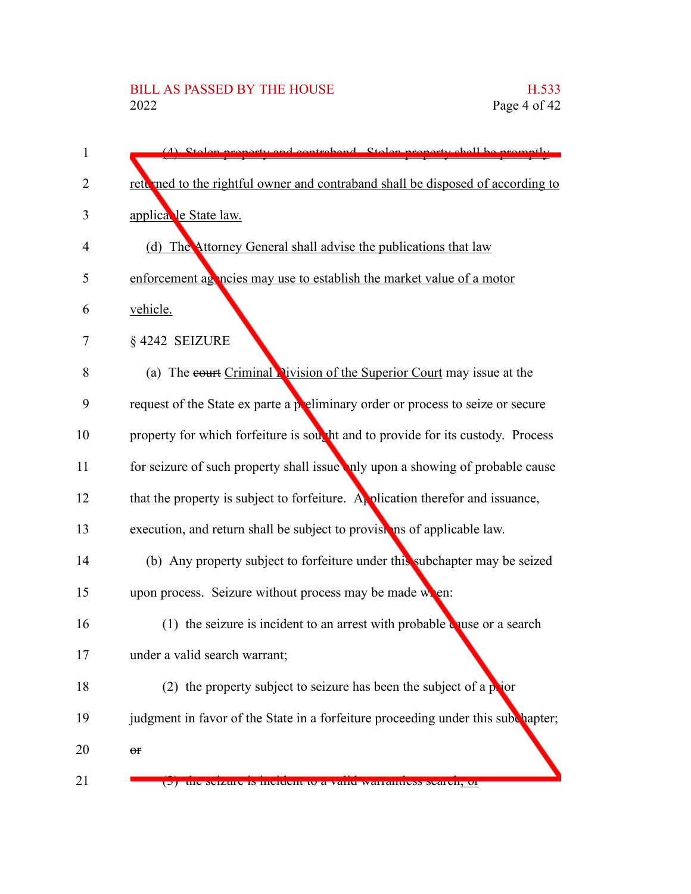| 1              | (4) Stolen property and controband. Stolen property shall be promotly            |
|----------------|----------------------------------------------------------------------------------|
| $\overline{2}$ | rett med to the rightful owner and contraband shall be disposed of according to  |
| 3              | applica le State law.                                                            |
| 4              | (d) The Attorney General shall advise the publications that law                  |
| 5              | enforcement as notices may use to establish the market value of a motor          |
| 6              | vehicle.                                                                         |
| 7              | §4242 SEIZURE                                                                    |
| 8              | (a) The court Criminal Division of the Superior Court may issue at the           |
| 9              | request of the State ex parte a preliminary order or process to seize or secure  |
| 10             | property for which forfeiture is sout ht and to provide for its custody. Process |
| 11             | for seizure of such property shall issue nly upon a showing of probable cause    |
| 12             | that the property is subject to forfeiture. Application therefor and issuance,   |
| 13             | execution, and return shall be subject to provisions of applicable law.          |
| 14             | (b) Any property subject to forfeiture under this subchapter may be seized       |
| 15             | upon process. Seizure without process may be made when:                          |
| 16             | (1) the seizure is incident to an arrest with probable quise or a search         |
| 17             | under a valid search warrant;                                                    |
| 18             | (2) the property subject to seizure has been the subject of a prior              |
| 19             | judgment in favor of the State in a forfeiture proceeding under this subchapter; |
| 20             | $\Theta \textbf{f}$                                                              |
| 21             | the seizure is moluent to a valid warrantiess search, or                         |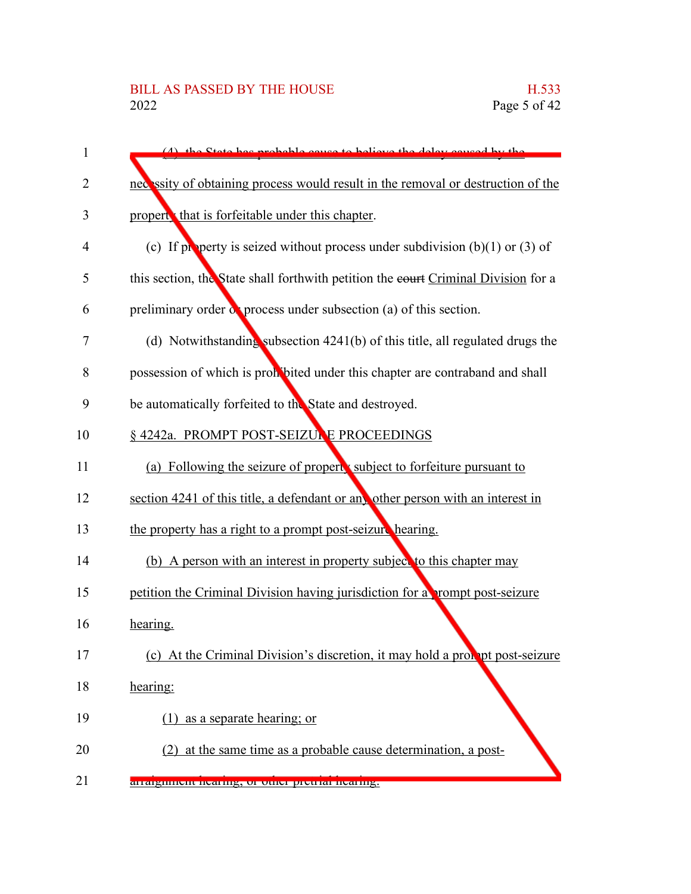| 1  | (1) the State has probable cause to believe the delay caused by the                |
|----|------------------------------------------------------------------------------------|
| 2  | necessity of obtaining process would result in the removal or destruction of the   |
| 3  | propert, that is forfeitable under this chapter.                                   |
| 4  | (c) If property is seized without process under subdivision $(b)(1)$ or $(3)$ of   |
| 5  | this section, the State shall forthwith petition the eourt Criminal Division for a |
| 6  | preliminary order $\alpha$ process under subsection (a) of this section.           |
| 7  | (d) Notwithstanding subsection $4241(b)$ of this title, all regulated drugs the    |
| 8  | possession of which is prohibited under this chapter are contraband and shall      |
| 9  | be automatically forfeited to the State and destroyed.                             |
| 10 | § 4242a. PROMPT POST-SEIZUNE PROCEEDINGS                                           |
| 11 | (a) Following the seizure of properts subject to forfeiture pursuant to            |
| 12 | section 4241 of this title, a defendant or any other person with an interest in    |
| 13 | the property has a right to a prompt post-seizure hearing.                         |
| 14 | (b) A person with an interest in property subject to this chapter may              |
| 15 | petition the Criminal Division having jurisdiction for a prompt post-seizure       |
| 16 | hearing.                                                                           |
| 17 | (c) At the Criminal Division's discretion, it may hold a probability post-seizure  |
| 18 | hearing:                                                                           |
| 19 | $(1)$ as a separate hearing; or                                                    |
| 20 | (2) at the same time as a probable cause determination, a post-                    |
| 21 | arraighment nearing, or other pretrial nearing.                                    |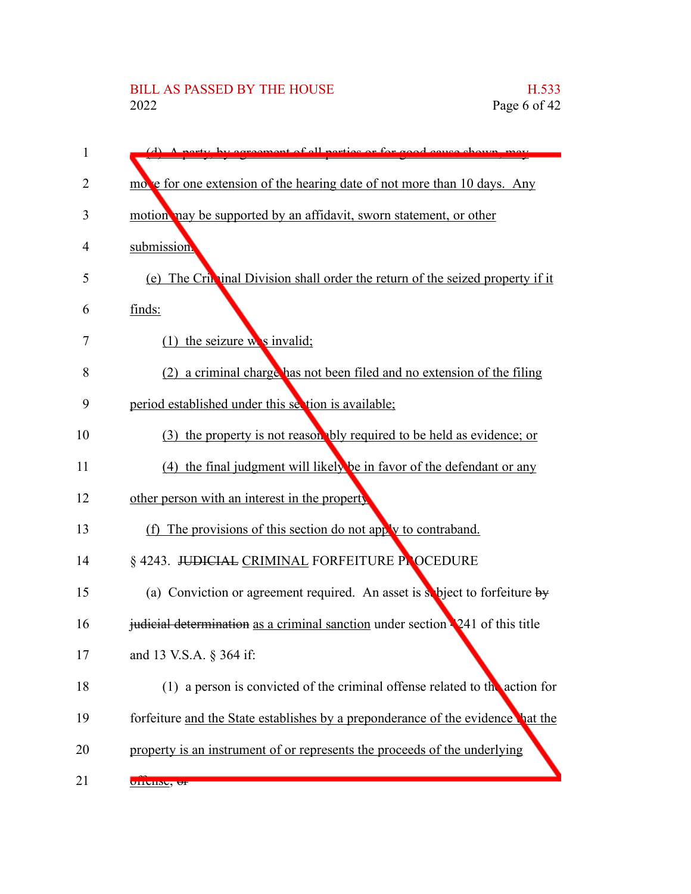# BILL AS PASSED BY THE HOUSE H.533<br>2022 Page 6 of 42

| 1  | reamont of all nextige or for good cause                                        |
|----|---------------------------------------------------------------------------------|
| 2  | move for one extension of the hearing date of not more than 10 days. Any        |
| 3  | motion nay be supported by an affidavit, sworn statement, or other              |
| 4  | submission.                                                                     |
| 5  | (e) The Crin inal Division shall order the return of the seized property if it  |
| 6  | finds:                                                                          |
| 7  | $(1)$ the seizure we sinvalid;                                                  |
| 8  | (2) a criminal charge has not been filed and no extension of the filing         |
| 9  | period established under this section is available;                             |
| 10 | (3) the property is not reason bly required to be held as evidence; or          |
| 11 | (4) the final judgment will likely be in favor of the defendant or any          |
| 12 | other person with an interest in the property                                   |
| 13 | (f) The provisions of this section do not apply to contraband.                  |
| 14 | § 4243. JUDICIAL CRIMINAL FORFEITURE PLOCEDURE                                  |
| 15 | (a) Conviction or agreement required. An asset is subject to forfeiture by      |
| 16 | judicial determination as a criminal sanction under section 241 of this title   |
| 17 | and 13 V.S.A. § 364 if:                                                         |
| 18 | (1) a person is convicted of the criminal offense related to the action for     |
| 19 | forfeiture and the State establishes by a preponderance of the evidence hat the |
| 20 | property is an instrument of or represents the proceeds of the underlying       |
| 21 | <u>uncine, <del>ur</del></u>                                                    |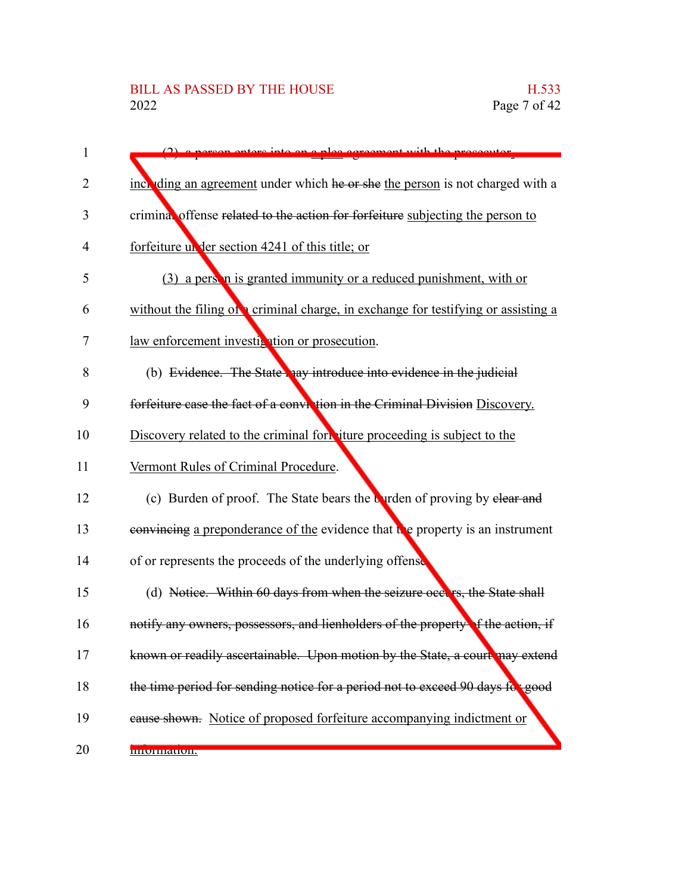| 1              | enters into an a plea goreoment with the                                         |
|----------------|----------------------------------------------------------------------------------|
| 2              | inch ding an agreement under which he or she the person is not charged with a    |
| 3              | criminal offense related to the action for forfeiture subjecting the person to   |
| $\overline{4}$ | forfeiture un der section 4241 of this title; or                                 |
| 5              | (3) a person is granted immunity or a reduced punishment, with or                |
| 6              | without the filing of criminal charge, in exchange for testifying or assisting a |
| 7              | law enforcement investigation or prosecution.                                    |
| 8              | (b) Evidence. The State hay introduce into evidence in the judicial              |
| 9              | forfeiture case the fact of a conviction in the Criminal Division Discovery.     |
| 10             | Discovery related to the criminal form iture proceeding is subject to the        |
| 11             | Vermont Rules of Criminal Procedure.                                             |
| 12             | (c) Burden of proof. The State bears the turden of proving by elear and          |
| 13             | convincing a preponderance of the evidence that the property is an instrument    |
| 14             | of or represents the proceeds of the underlying offense                          |
| 15             | (d) Notice. Within 60 days from when the seizure occurs, the State shall         |
| 16             | notify any owners, possessors, and lienholders of the property of the action, if |
| 17             | known or readily ascertainable. Upon motion by the State, a court may extend     |
| 18             | the time period for sending notice for a period not to exceed 90 days for good   |
| 19             | eause shown. Notice of proposed forfeiture accompanying indictment or            |
| 20             | <b>INIUTHRUUH.</b>                                                               |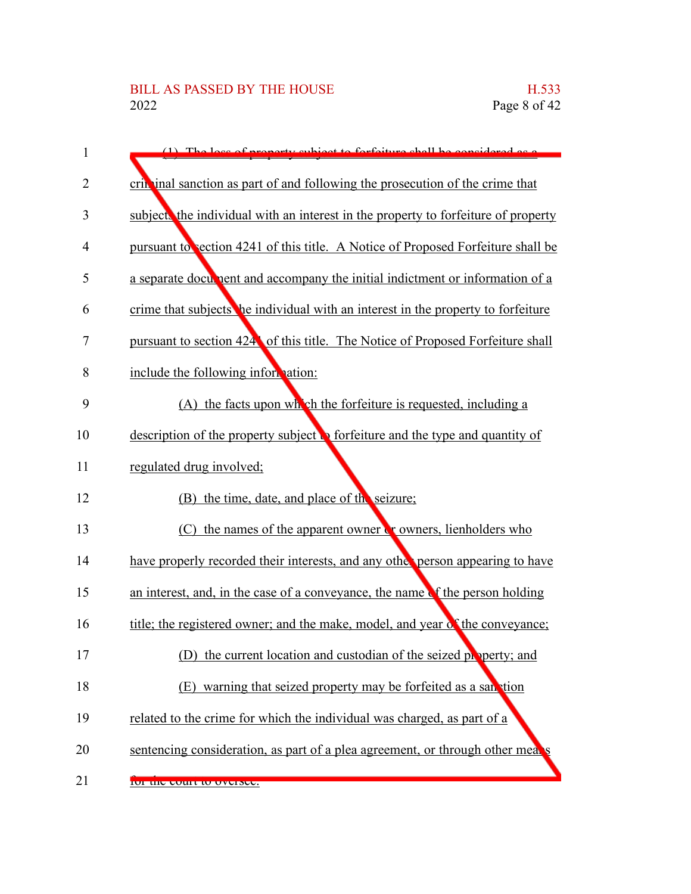| 1  | The loss of proporty subject to forfoiture shall be considered as a                   |
|----|---------------------------------------------------------------------------------------|
| 2  | crip in al sanction as part of and following the prosecution of the crime that        |
| 3  | subject the individual with an interest in the property to forfeiture of property     |
| 4  | pursuant to section 4241 of this title. A Notice of Proposed Forfeiture shall be      |
| 5  | a separate document and accompany the initial indictment or information of a          |
| 6  | crime that subjects the individual with an interest in the property to forfeiture     |
| 7  | pursuant to section 424 of this title. The Notice of Proposed Forfeiture shall        |
| 8  | include the following information:                                                    |
| 9  | (A) the facts upon which the forfeiture is requested, including a                     |
| 10 | description of the property subject $\bullet$ forfeiture and the type and quantity of |
| 11 | regulated drug involved;                                                              |
| 12 | (B) the time, date, and place of the seizure;                                         |
| 13 | $(C)$ the names of the apparent owner $Cr$ owners, lienholders who                    |
| 14 | have properly recorded their interests, and any other person appearing to have        |
| 15 | an interest, and, in the case of a conveyance, the name of the person holding         |
| 16 | title; the registered owner; and the make, model, and year of the conveyance;         |
| 17 | (D) the current location and custodian of the seized property; and                    |
| 18 | (E) warning that seized property may be forfeited as a san tion                       |
| 19 | related to the crime for which the individual was charged, as part of a               |
| 20 | sentencing consideration, as part of a plea agreement, or through other means         |
| 21 | <u>iui uit tuuri iu uvtistt.</u>                                                      |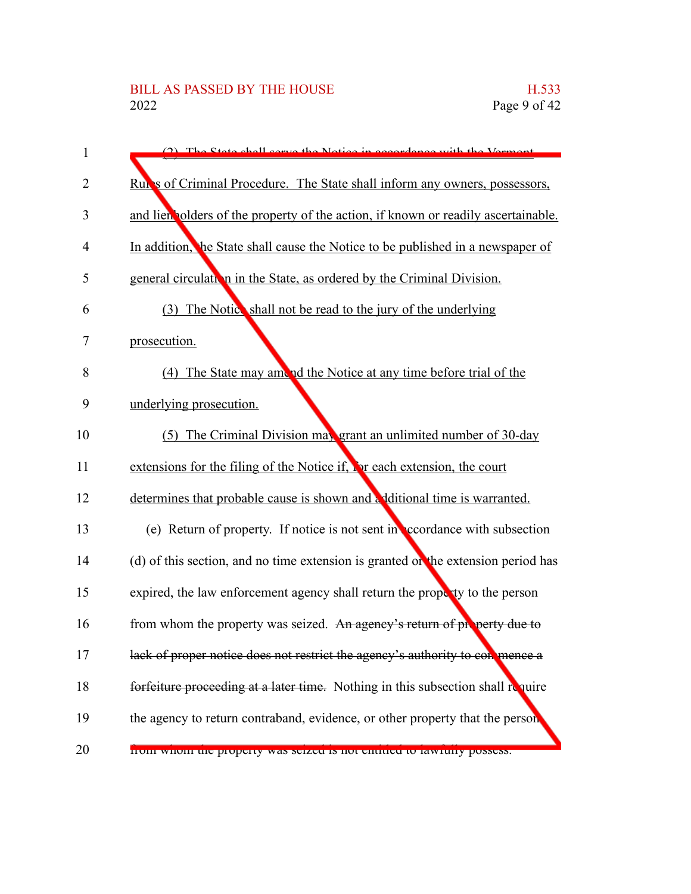| 1  | (2) The State shall serve the Notice in accordance with the Vermont                |
|----|------------------------------------------------------------------------------------|
| 2  | Runs of Criminal Procedure. The State shall inform any owners, possessors,         |
| 3  | and lien polders of the property of the action, if known or readily ascertainable. |
| 4  | In addition, the State shall cause the Notice to be published in a newspaper of    |
| 5  | general circulation in the State, as ordered by the Criminal Division.             |
| 6  | (3) The Notice shall not be read to the jury of the underlying                     |
| 7  | prosecution.                                                                       |
| 8  | (4) The State may amend the Notice at any time before trial of the                 |
| 9  | underlying prosecution.                                                            |
| 10 | (5) The Criminal Division may grant an unlimited number of 30-day                  |
| 11 | extensions for the filing of the Notice if, For each extension, the court          |
| 12 | determines that probable cause is shown and a ditional time is warranted.          |
| 13 | (e) Return of property. If notice is not sent in coordance with subsection         |
| 14 | (d) of this section, and no time extension is granted or the extension period has  |
| 15 | expired, the law enforcement agency shall return the property to the person        |
| 16 | from whom the property was seized. An agency's return of property due to           |
| 17 | lack of proper notice does not restrict the agency's authority to con mence a      |
| 18 | forfeiture proceeding at a later time. Nothing in this subsection shall require    |
| 19 | the agency to return contraband, evidence, or other property that the person       |
| 20 | from whom the property was seized is not entitied to fawfully possess.             |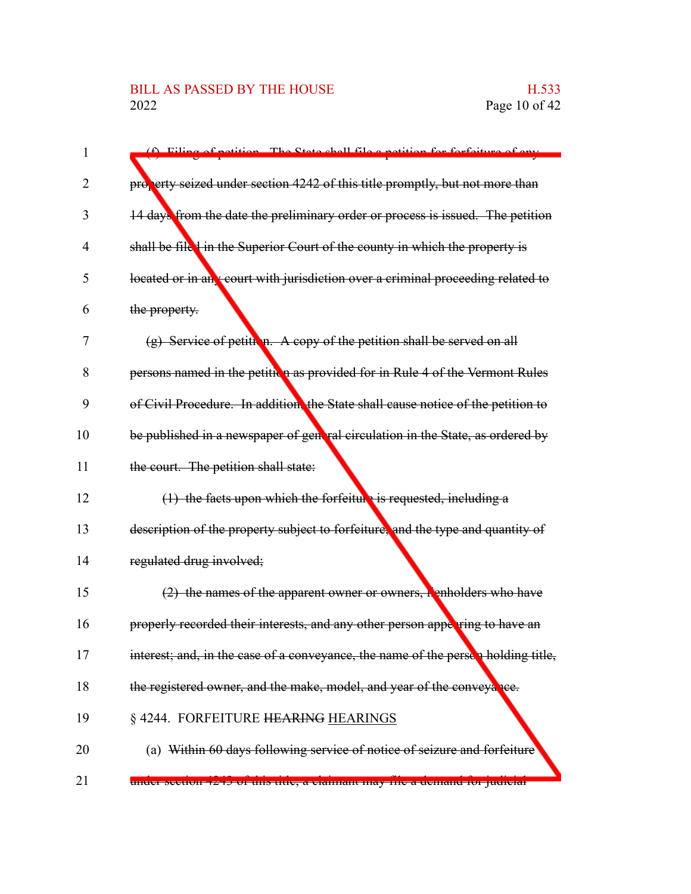| 1              | (f) Filipe of potition. The State shall file a potition for forfoiture of any     |
|----------------|-----------------------------------------------------------------------------------|
|                |                                                                                   |
| 2              | property seized under section 4242 of this title promptly, but not more than      |
| 3              | 14 days from the date the preliminary order or process is issued. The petition    |
| $\overline{4}$ | shall be file I in the Superior Court of the county in which the property is      |
| 5              | located or in an court with jurisdiction over a criminal proceeding related to    |
| 6              | the property.                                                                     |
| 7              | $(g)$ Service of petition. A copy of the petition shall be served on all          |
| 8              | persons named in the petitiva as provided for in Rule 4 of the Vermont Rules      |
| 9              | of Civil Procedure. In addition, the State shall cause notice of the petition to  |
| 10             | be published in a newspaper of general circulation in the State, as ordered by    |
| 11             | the court. The petition shall state:                                              |
| 12             | $(1)$ the facts upon which the forfeiture is requested, including a               |
| 13             | description of the property subject to forfeiture, and the type and quantity of   |
| 14             | regulated drug involved;                                                          |
| 15             | $(2)$ the names of the apparent owner or owners, henholders who have              |
| 16             | properly recorded their interests, and any other person appering to have an       |
| 17             | interest; and, in the case of a conveyance, the name of the persen holding title, |
| 18             | the registered owner, and the make, model, and year of the conveyance.            |
| 19             | § 4244. FORFEITURE HEARING HEARINGS                                               |
| 20             | (a) Within 60 days following service of notice of seizure and forfeiture          |
| 21             | unuer secuon 4245 or uns uue, a clannam may me a uemanu 101 juulelar              |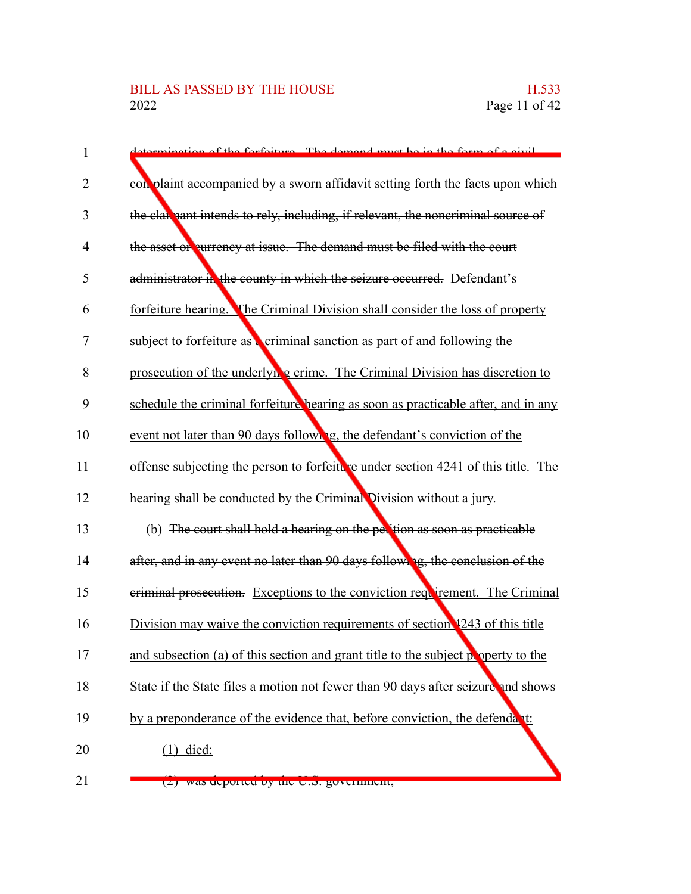## BILL AS PASSED BY THE HOUSE H.533<br>2022 Page 11 of 42

| instigate of the forfoiture. The demand must be in the form of a givil            |
|-----------------------------------------------------------------------------------|
| con plaint accompanied by a sworn affidavit setting forth the facts upon which    |
| the clarmant intends to rely, including, if relevant, the noncriminal source of   |
| the asset of currency at issue. The demand must be filed with the court           |
| administrator in the county in which the seizure occurred. Defendant's            |
| forfeiture hearing. The Criminal Division shall consider the loss of property     |
| subject to forfeiture as criminal sanction as part of and following the           |
| prosecution of the underlying crime. The Criminal Division has discretion to      |
| schedule the criminal forfeiture hearing as soon as practicable after, and in any |
| event not later than 90 days following, the defendant's conviction of the         |
| offense subjecting the person to forfeiture under section 4241 of this title. The |
| hearing shall be conducted by the Criminal Division without a jury.               |
| (b) The court shall hold a hearing on the pertion as soon as practicable          |
| after, and in any event no later than 90 days following, the conclusion of the    |
| eriminal prosecution. Exceptions to the conviction requirement. The Criminal      |
| Division may waive the conviction requirements of section 4243 of this title      |
| and subsection (a) of this section and grant title to the subject property to the |
| State if the State files a motion not fewer than 90 days after seizure and shows  |
| by a preponderance of the evidence that, before conviction, the defendant:        |
| $(1)$ died;                                                                       |
| $(2)$ was deported by the U.S. government,                                        |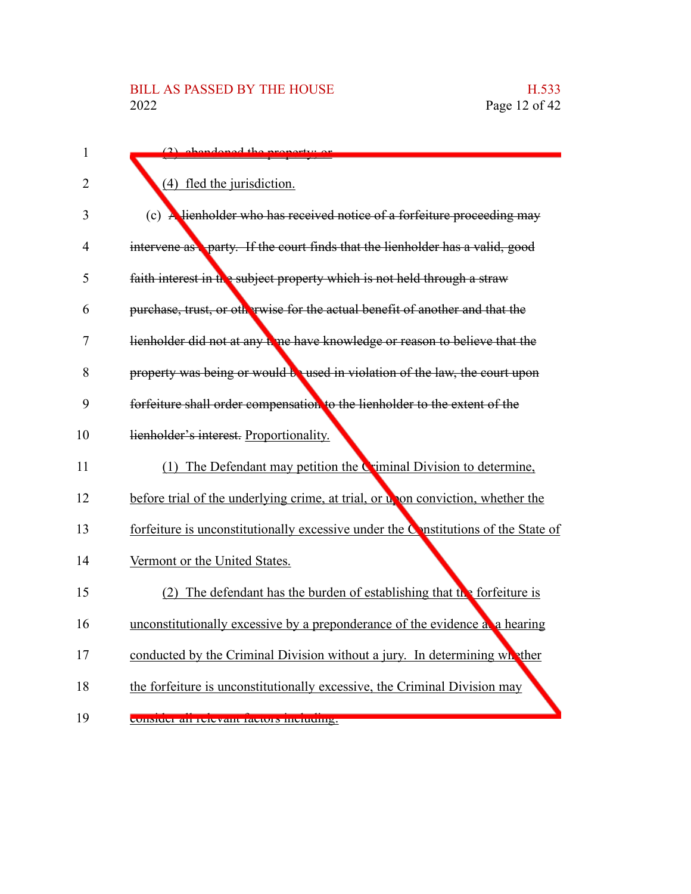| $\mathbf{1}$ | (2) obendoned the property or                                                      |
|--------------|------------------------------------------------------------------------------------|
| 2            | (4) fled the jurisdiction.                                                         |
| 3            | (c) A lienholder who has received notice of a forfeiture proceeding may            |
| 4            | intervene as party. If the court finds that the lienholder has a valid, good       |
| 5            | faith interest in the subject property which is not held through a straw           |
| 6            | purchase, trust, or otherwise for the actual benefit of another and that the       |
| 7            | lienholder did not at any time have knowledge or reason to believe that the        |
| 8            | property was being or would be used in violation of the law, the court upon        |
| 9            | forfeiture shall order compensation to the lienholder to the extent of the         |
| 10           | lienholder's interest. Proportionality.                                            |
| 11           | (1) The Defendant may petition the Criminal Division to determine,                 |
| 12           | before trial of the underlying crime, at trial, or upon conviction, whether the    |
| 13           | forfeiture is unconstitutionally excessive under the Constitutions of the State of |
| 14           | Vermont or the United States.                                                      |
| 15           | (2) The defendant has the burden of establishing that the forfeiture is            |
| 16           | unconstitutionally excessive by a preponderance of the evidence a a hearing        |
| 17           | conducted by the Criminal Division without a jury. In determining what ther        |
| 18           | the forfeiture is unconstitutionally excessive, the Criminal Division may          |
| 19           | <u>consider an refevant factors including.</u>                                     |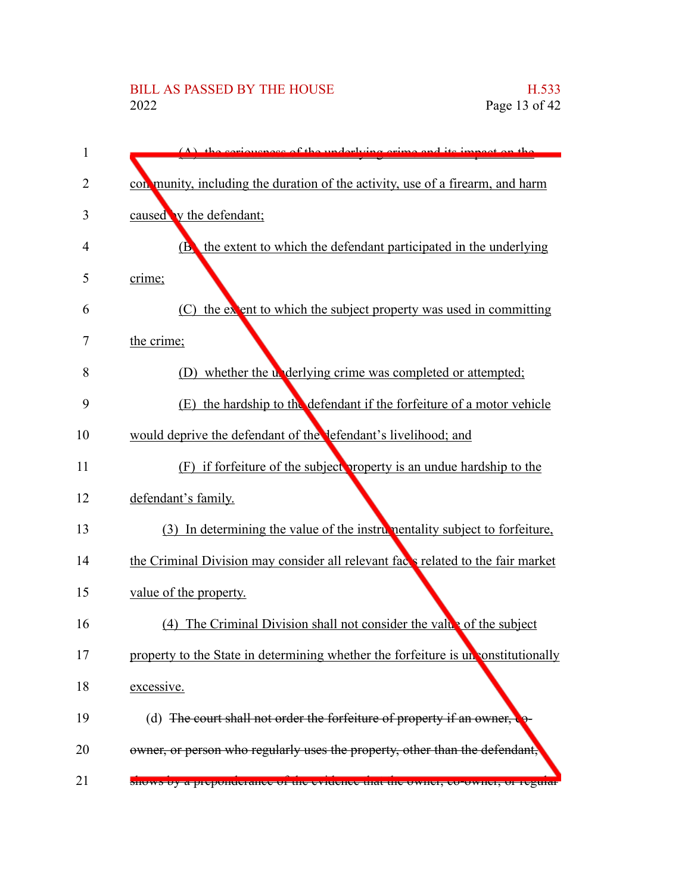| 1              | $(\Lambda)$ the coriousness of the underlying erims and its impact on the          |
|----------------|------------------------------------------------------------------------------------|
| $\overline{2}$ | con munity, including the duration of the activity, use of a firearm, and harm     |
| 3              | caused by the defendant;                                                           |
| 4              | the extent to which the defendant participated in the underlying<br><b>(В)</b>     |
| 5              | crime;                                                                             |
| 6              | the extent to which the subject property was used in committing<br>(C)             |
| 7              | the crime;                                                                         |
| 8              | (D) whether the underlying crime was completed or attempted;                       |
| 9              | (E) the hardship to the defendant if the forfeiture of a motor vehicle             |
| 10             | would deprive the defendant of the defendant's livelihood; and                     |
| 11             | (F) if forfeiture of the subject property is an undue hardship to the              |
| 12             | defendant's family.                                                                |
| 13             | (3) In determining the value of the instrumentality subject to forfeiture,         |
| 14             | the Criminal Division may consider all relevant faces related to the fair market   |
| 15             | value of the property.                                                             |
| 16             | (4) The Criminal Division shall not consider the value of the subject              |
| 17             | property to the State in determining whether the forfeiture is un constitutionally |
| 18             | excessive.                                                                         |
| 19             | (d) The court shall not order the forfeiture of property if an owner,              |
| 20             | owner, or person who regularly uses the property, other than the defendant,        |
| 21             | shows by a preponderance or the evidence that the owner, to owner, or regular      |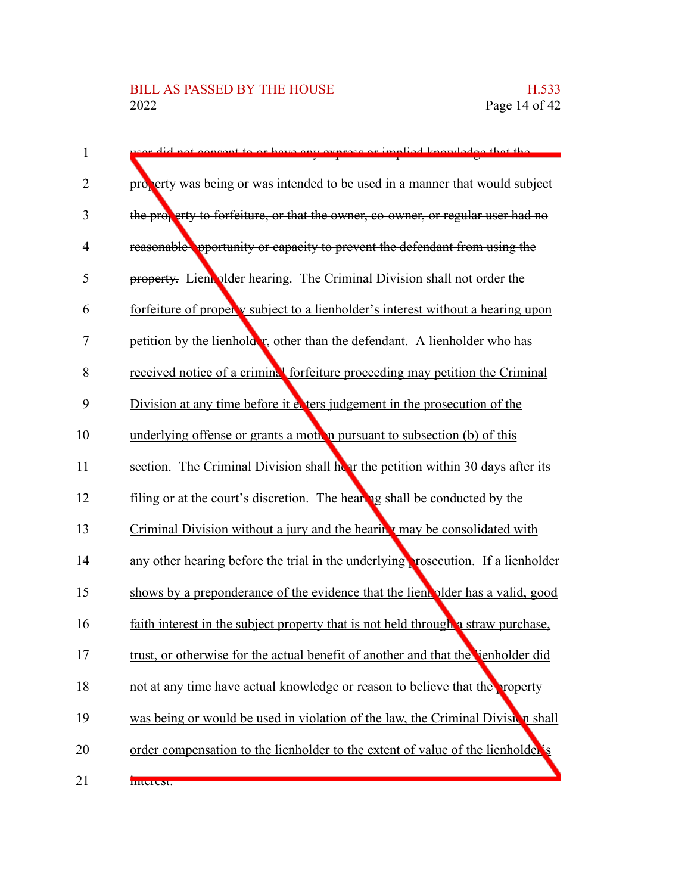## BILL AS PASSED BY THE HOUSE H.533<br>2022 Page 14 of 42

| $\mathbf{1}$   | did not consent to or heve eny express or implied knowledge that the              |
|----------------|-----------------------------------------------------------------------------------|
| 2              | property was being or was intended to be used in a manner that would subject      |
| 3              | the property to forfeiture, or that the owner, co-owner, or regular user had no   |
| $\overline{4}$ | reasonable opportunity or capacity to prevent the defendant from using the        |
| 5              | property. Lien plder hearing. The Criminal Division shall not order the           |
| 6              | forfeiture of properly subject to a lienholder's interest without a hearing upon  |
| 7              | petition by the lienholder, other than the defendant. A lienholder who has        |
| 8              | received notice of a criminal forfeiture proceeding may petition the Criminal     |
| 9              | Division at any time before it evers judgement in the prosecution of the          |
| 10             | underlying offense or grants a moth in pursuant to subsection (b) of this         |
| 11             | section. The Criminal Division shall hear the petition within 30 days after its   |
| 12             | filing or at the court's discretion. The hearing shall be conducted by the        |
| 13             | Criminal Division without a jury and the hearing may be consolidated with         |
| 14             | any other hearing before the trial in the underlying rosecution. If a lienholder  |
| 15             | shows by a preponderance of the evidence that the lient plder has a valid, good   |
| 16             | faith interest in the subject property that is not held through a straw purchase, |
| 17             | trust, or otherwise for the actual benefit of another and that the ienholder did  |
| 18             | not at any time have actual knowledge or reason to believe that the property      |
| 19             | was being or would be used in violation of the law, the Criminal Division shall   |
| 20             | order compensation to the lienholder to the extent of value of the lienholder's   |
| 21             | <b>IIIterest.</b>                                                                 |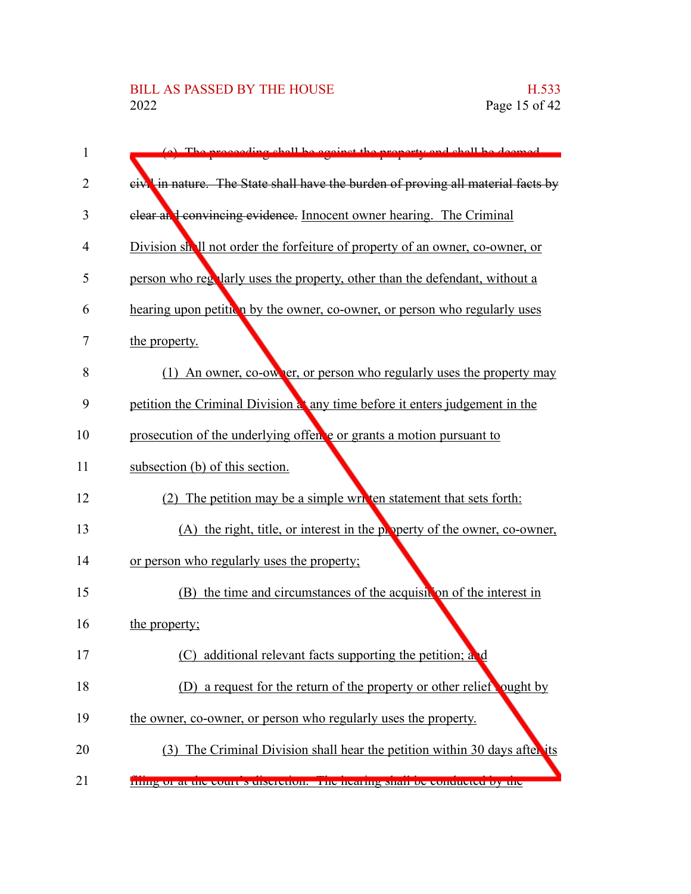| $\mathbf{1}$   | (a) The proceeding shall be equinct the property and shall be deemed                         |
|----------------|----------------------------------------------------------------------------------------------|
| $\overline{2}$ | eiv <sup>1</sup> in nature. The State shall have the burden of proving all material facts by |
| 3              | clear and convincing evidence. Innocent owner hearing. The Criminal                          |
| 4              | Division shall not order the forfeiture of property of an owner, co-owner, or                |
| 5              | person who regularly uses the property, other than the defendant, without a                  |
| 6              | hearing upon petition by the owner, co-owner, or person who regularly uses                   |
| 7              | the property.                                                                                |
| 8              | (1) An owner, co-owner, or person who regularly uses the property may                        |
| 9              | petition the Criminal Division at any time before it enters judgement in the                 |
| 10             | prosecution of the underlying offence or grants a motion pursuant to                         |
| 11             | subsection (b) of this section.                                                              |
| 12             | (2) The petition may be a simple written statement that sets forth:                          |
| 13             | (A) the right, title, or interest in the property of the owner, co-owner,                    |
| 14             | or person who regularly uses the property;                                                   |
| 15             | (B) the time and circumstances of the acquisition of the interest in                         |
| 16             | the property;                                                                                |
| 17             | (C) additional relevant facts supporting the petition; and                                   |
| 18             | (D) a request for the return of the property or other relief ought by                        |
| 19             | the owner, co-owner, or person who regularly uses the property.                              |
| 20             | (3) The Criminal Division shall hear the petition within 30 days after its                   |
| 21             | ming or at the court s discretion. The nearing shall be conducted by the                     |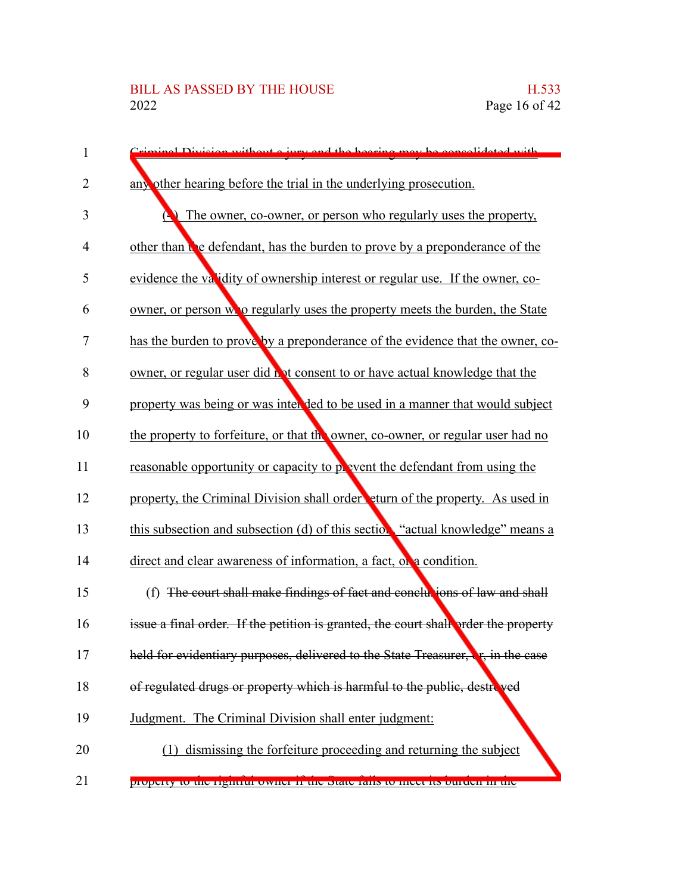| 1              | Criminal Division without a jury and the hearing may be consolidated with               |
|----------------|-----------------------------------------------------------------------------------------|
| 2              | any other hearing before the trial in the underlying prosecution.                       |
| 3              | The owner, co-owner, or person who regularly uses the property,                         |
| $\overline{4}$ | other than the defendant, has the burden to prove by a preponderance of the             |
| 5              | evidence the validity of ownership interest or regular use. If the owner, co-           |
| 6              | owner, or person wo regularly uses the property meets the burden, the State             |
| 7              | has the burden to prove by a preponderance of the evidence that the owner, co-          |
| 8              | owner, or regular user did not consent to or have actual knowledge that the             |
| 9              | property was being or was inter ded to be used in a manner that would subject           |
| 10             | the property to forfeiture, or that the owner, co-owner, or regular user had no         |
| 11             | reasonable opportunity or capacity to position the defendant from using the             |
| 12             | property, the Criminal Division shall order eturn of the property. As used in           |
| 13             | this subsection and subsection (d) of this section "actual knowledge" means a           |
| 14             | direct and clear awareness of information, a fact, or a condition.                      |
| 15             | (f) The court shall make findings of fact and conclusions of law and shall              |
| 16             | issue a final order. If the petition is granted, the court shall order the property     |
| 17             | held for evidentiary purposes, delivered to the State Treasurer, <b>e</b> , in the case |
| 18             | of regulated drugs or property which is harmful to the public, destroved                |
| 19             | Judgment. The Criminal Division shall enter judgment:                                   |
| 20             | dismissing the forfeiture proceeding and returning the subject                          |
| 21             | property to the rightful owner if the state rails to meet its burten in the             |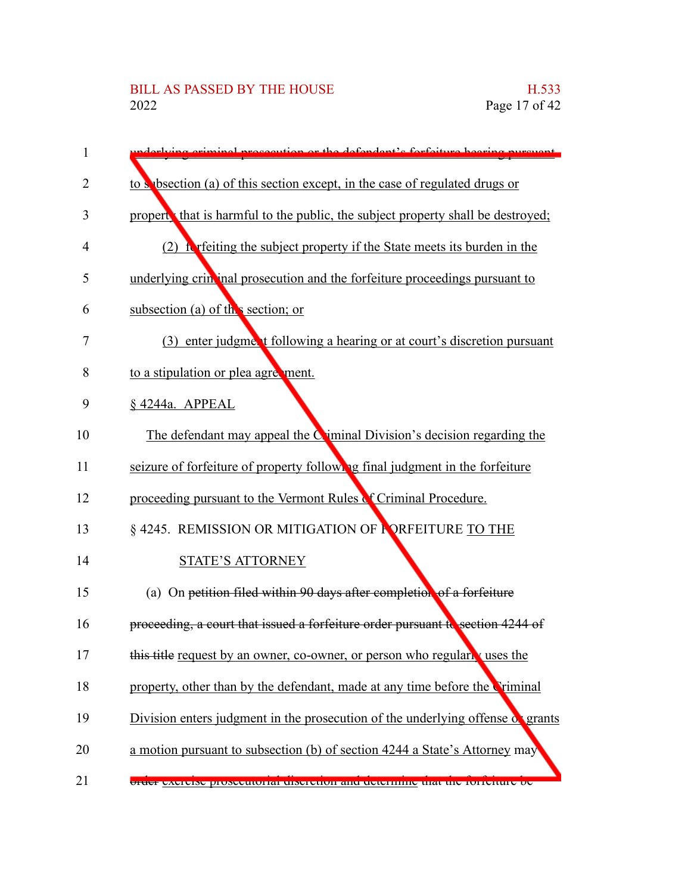| 1  | relying eviminal proceedition or the defendant's forfeiture heaving purge       |
|----|---------------------------------------------------------------------------------|
| 2  | to s bsection (a) of this section except, in the case of regulated drugs or     |
| 3  | propert that is harmful to the public, the subject property shall be destroyed; |
| 4  | (2) it refers the subject property if the State meets its burden in the         |
| 5  | underlying crin inal prosecution and the forfeiture proceedings pursuant to     |
| 6  | subsection (a) of the section; or                                               |
| 7  | (3) enter judgment following a hearing or at court's discretion pursuant        |
| 8  | to a stipulation or plea agreement.                                             |
| 9  | §4244a. APPEAL                                                                  |
| 10 | The defendant may appeal the $C$ iminal Division's decision regarding the       |
| 11 | seizure of forfeiture of property following final judgment in the forfeiture    |
| 12 | proceeding pursuant to the Vermont Rules of Criminal Procedure.                 |
| 13 | § 4245. REMISSION OR MITIGATION OF PORFEITURE TO THE                            |
| 14 | <b>STATE'S ATTORNEY</b>                                                         |
| 15 | (a) On petition filed within 90 days after completion of a forfeiture           |
| 16 | proceeding, a court that issued a forfeiture order pursuant to section 4244 of  |
| 17 | this title request by an owner, co-owner, or person who regularly uses the      |
| 18 | property, other than by the defendant, made at any time before the Criminal     |
| 19 | Division enters judgment in the prosecution of the underlying offense of grants |
| 20 | a motion pursuant to subsection (b) of section 4244 a State's Attorney may      |
| 21 | order excluse prosecutorial discretion and determine that the fortentife oc-    |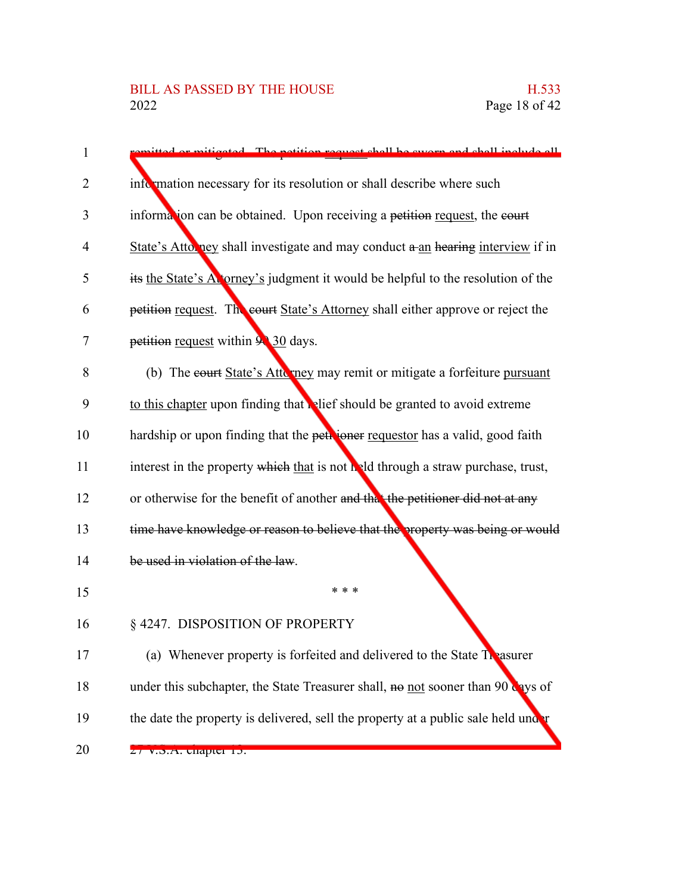| $\mathbf{1}$   | or mitigated. The petition request shall be swerp and shall include all              |
|----------------|--------------------------------------------------------------------------------------|
| 2              | information necessary for its resolution or shall describe where such                |
| 3              | information can be obtained. Upon receiving a petition request, the court            |
| $\overline{4}$ | State's Attorney shall investigate and may conduct a an hearing interview if in      |
| 5              | its the State's Atorney's judgment it would be helpful to the resolution of the      |
| 6              | petition request. The court State's Attorney shall either approve or reject the      |
| 7              | petition request within 9 30 days.                                                   |
| 8              | (b) The court State's Atto mey may remit or mitigate a forfeiture pursuant           |
| 9              | to this chapter upon finding that relief should be granted to avoid extreme          |
| 10             | hardship or upon finding that the petrioner requestor has a valid, good faith        |
| 11             | interest in the property which that is not held through a straw purchase, trust,     |
| 12             | or otherwise for the benefit of another and that the petitioner did not at any       |
| 13             | time have knowledge or reason to believe that the property was being or would        |
| 14             | be used in violation of the law.                                                     |
| 15             | * * *                                                                                |
| 16             | § 4247. DISPOSITION OF PROPERTY                                                      |
| 17             | (a) Whenever property is forfeited and delivered to the State Treasurer              |
| 18             | under this subchapter, the State Treasurer shall, $\theta$ not sooner than 90 ays of |
| 19             | the date the property is delivered, sell the property at a public sale held under    |
| 20             | 27 v.d.A. unaptu 13.                                                                 |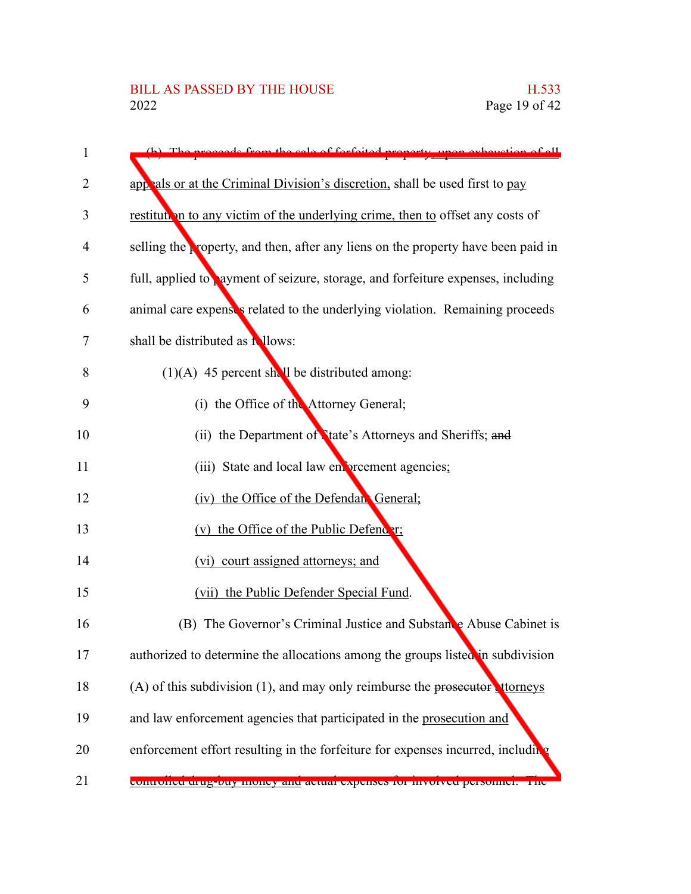| 1  | connected train the sale of forfeited property<br>non experition of ell           |
|----|-----------------------------------------------------------------------------------|
| 2  | appeals or at the Criminal Division's discretion, shall be used first to pay      |
| 3  | restitution to any victim of the underlying crime, then to offset any costs of    |
| 4  | selling the property, and then, after any liens on the property have been paid in |
| 5  | full, applied to payment of seizure, storage, and forfeiture expenses, including  |
| 6  | animal care expenses related to the underlying violation. Remaining proceeds      |
| 7  | shall be distributed as <b>Nlows</b> :                                            |
| 8  | $(1)(A)$ 45 percent shall be distributed among:                                   |
| 9  | (i) the Office of the Attorney General;                                           |
| 10 | (ii) the Department of Nate's Attorneys and Sheriffs; and                         |
| 11 | (iii) State and local law enforcement agencies;                                   |
| 12 | (iv) the Office of the Defendant General;                                         |
| 13 | (v) the Office of the Public Defender;                                            |
| 14 | (vi) court assigned attorneys; and                                                |
| 15 | (vii) the Public Defender Special Fund.                                           |
| 16 | (B) The Governor's Criminal Justice and Substance Abuse Cabinet is                |
| 17 | authorized to determine the allocations among the groups listed in subdivision    |
| 18 | (A) of this subdivision (1), and may only reimburse the prosecutor treneys        |
| 19 | and law enforcement agencies that participated in the prosecution and             |
| 20 | enforcement effort resulting in the forfeiture for expenses incurred, including   |
| 21 | controlled drug-buy money and actual expenses for involved personnel. The         |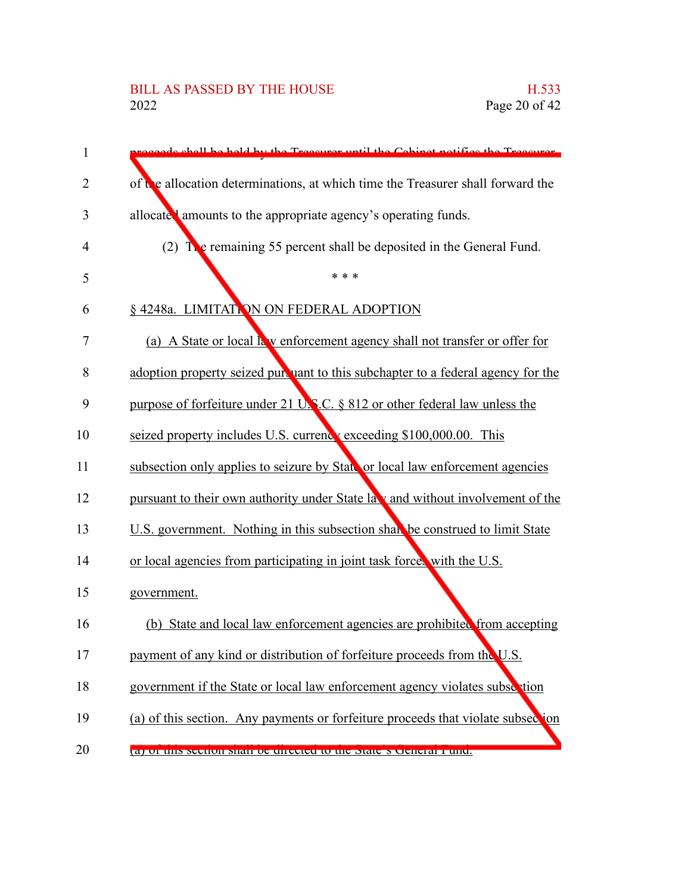# BILL AS PASSED BY THE HOUSE H.533<br>2022 Page 20 of 42

| $\mathbf{1}$   | eards shall be hold by the Treasurer until the Cabinet notifies the Treasurer.   |
|----------------|----------------------------------------------------------------------------------|
| 2              | of the allocation determinations, at which time the Treasurer shall forward the  |
| 3              | allocate amounts to the appropriate agency's operating funds.                    |
| $\overline{4}$ | (2) The remaining 55 percent shall be deposited in the General Fund.             |
| 5              | * * *                                                                            |
| 6              | § 4248a. LIMITATION ON FEDERAL ADOPTION                                          |
| 7              | (a) A State or local k w enforcement agency shall not transfer or offer for      |
| 8              | adoption property seized pursuant to this subchapter to a federal agency for the |
| 9              | purpose of forfeiture under 21 U.S.C. § 812 or other federal law unless the      |
| 10             | seized property includes U.S. currency exceeding \$100,000.00. This              |
| 11             | subsection only applies to seizure by State or local law enforcement agencies    |
| 12             | pursuant to their own authority under State law and without involvement of the   |
| 13             | U.S. government. Nothing in this subsection shall be construed to limit State    |
| 14             | or local agencies from participating in joint task forces with the U.S.          |
| 15             | government.                                                                      |
| 16             | (b) State and local law enforcement agencies are prohibited from accepting       |
| 17             | payment of any kind or distribution of forfeiture proceeds from the U.S.         |
| 18             | government if the State or local law enforcement agency violates subsection      |
| 19             | (a) of this section. Any payments or forfeiture proceeds that violate subsection |
| 20             | a) or this section shall be unceled to the state s Ocheral Pund.                 |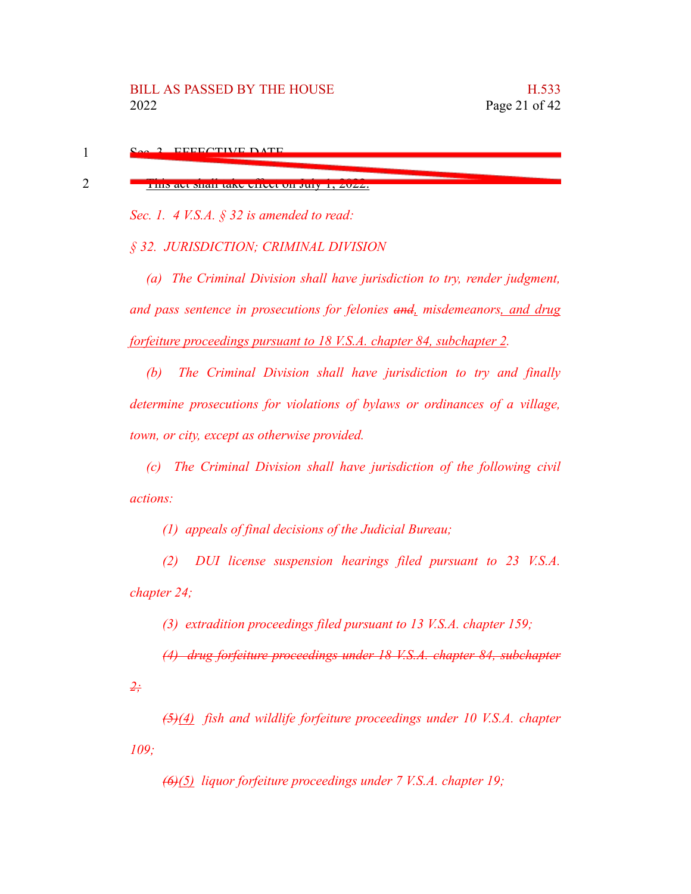| <u> THIS ACT SHAH TAKE CHECK ON</u> |  |  |
|-------------------------------------|--|--|

*Sec. 1. 4 V.S.A. § 32 is amended to read:*

*§ 32. JURISDICTION; CRIMINAL DIVISION*

*(a) The Criminal Division shall have jurisdiction to try, render judgment, and pass sentence in prosecutions for felonies and, misdemeanors, and drug forfeiture proceedings pursuant to 18 V.S.A. chapter 84, subchapter 2.*

This act shall take effect on July 1, 2022.

*(b) The Criminal Division shall have jurisdiction to try and finally determine prosecutions for violations of bylaws or ordinances of a village, town, or city, except as otherwise provided.*

*(c) The Criminal Division shall have jurisdiction of the following civil actions:*

*(1) appeals of final decisions of the Judicial Bureau;*

*(2) DUI license suspension hearings filed pursuant to 23 V.S.A. chapter 24;*

*(3) extradition proceedings filed pursuant to 13 V.S.A. chapter 159;*

*(4) drug forfeiture proceedings under 18 V.S.A. chapter 84, subchapter*

*2;*

*(5)(4) fish and wildlife forfeiture proceedings under 10 V.S.A. chapter 109;*

*(6)(5) liquor forfeiture proceedings under 7 V.S.A. chapter 19;*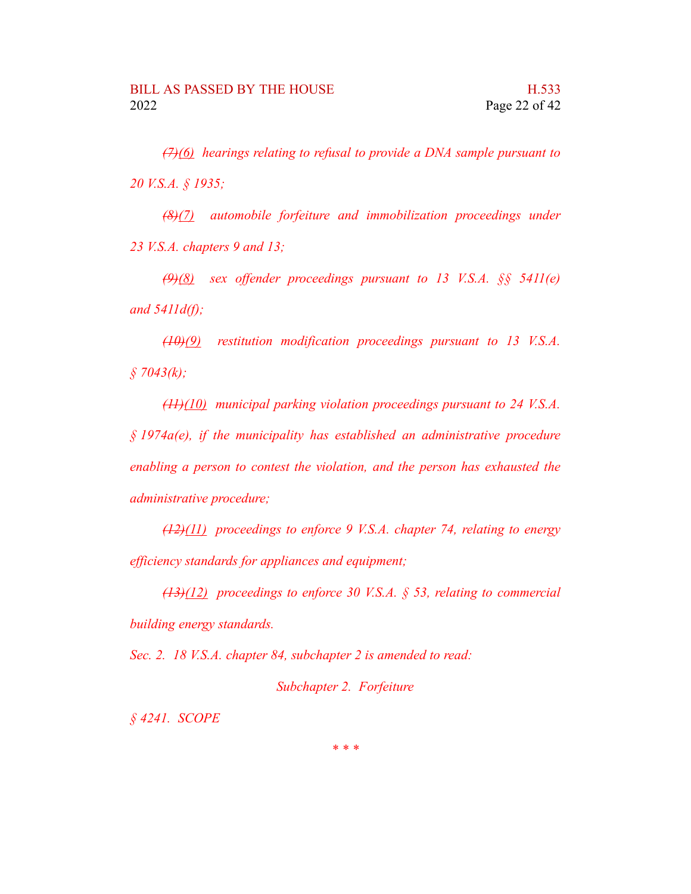*(7)(6) hearings relating to refusal to provide a DNA sample pursuant to 20 V.S.A. § 1935;*

*(8)(7) automobile forfeiture and immobilization proceedings under 23 V.S.A. chapters 9 and 13;*

*(9)(8) sex offender proceedings pursuant to 13 V.S.A. §§ 5411(e) and 5411d(f);*

*(10)(9) restitution modification proceedings pursuant to 13 V.S.A. § 7043(k);*

*(11)(10) municipal parking violation proceedings pursuant to 24 V.S.A. § 1974a(e), if the municipality has established an administrative procedure enabling a person to contest the violation, and the person has exhausted the administrative procedure;*

*(12)(11) proceedings to enforce 9 V.S.A. chapter 74, relating to energy efficiency standards for appliances and equipment;*

*(13)(12) proceedings to enforce 30 V.S.A. § 53, relating to commercial building energy standards.*

*Sec. 2. 18 V.S.A. chapter 84, subchapter 2 is amended to read:*

*Subchapter 2. Forfeiture*

*§ 4241. SCOPE*

*\* \* \**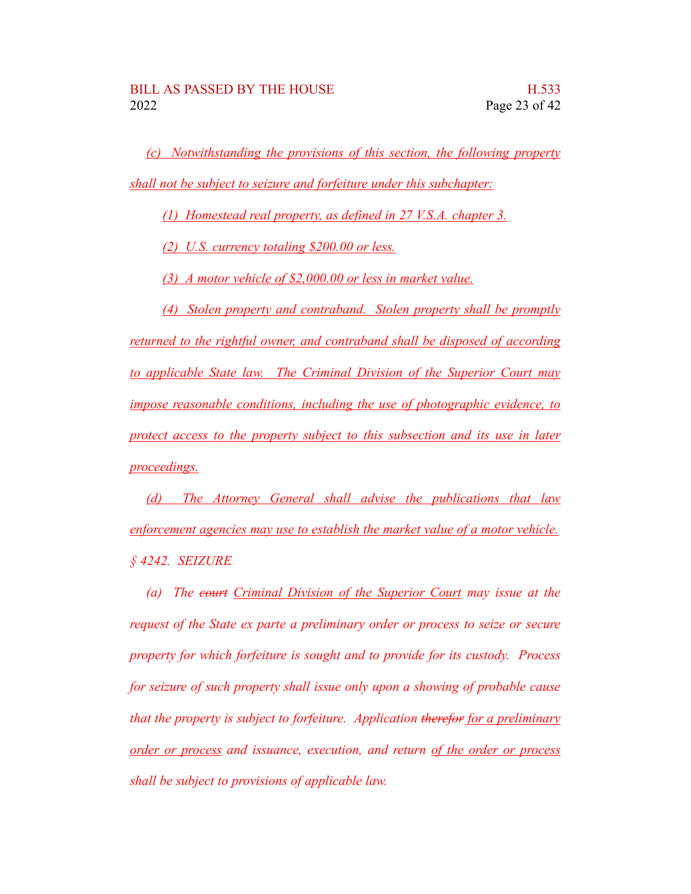*(c) Notwithstanding the provisions of this section, the following property shall not be subject to seizure and forfeiture under this subchapter:*

*(1) Homestead real property, as defined in 27 V.S.A. chapter 3.*

*(2) U.S. currency totaling \$200.00 or less.*

*(3) A motor vehicle of \$2,000.00 or less in market value.*

*(4) Stolen property and contraband. Stolen property shall be promptly returned to the rightful owner, and contraband shall be disposed of according to applicable State law. The Criminal Division of the Superior Court may impose reasonable conditions, including the use of photographic evidence, to protect access to the property subject to this subsection and its use in later proceedings.*

*(d) The Attorney General shall advise the publications that law enforcement agencies may use to establish the market value of a motor vehicle. § 4242. SEIZURE*

*(a) The court Criminal Division of the Superior Court may issue at the request of the State ex parte a preliminary order or process to seize or secure property for which forfeiture is sought and to provide for its custody. Process for seizure of such property shall issue only upon a showing of probable cause that the property is subject to forfeiture. Application therefor for a preliminary order or process and issuance, execution, and return of the order or process shall be subject to provisions of applicable law.*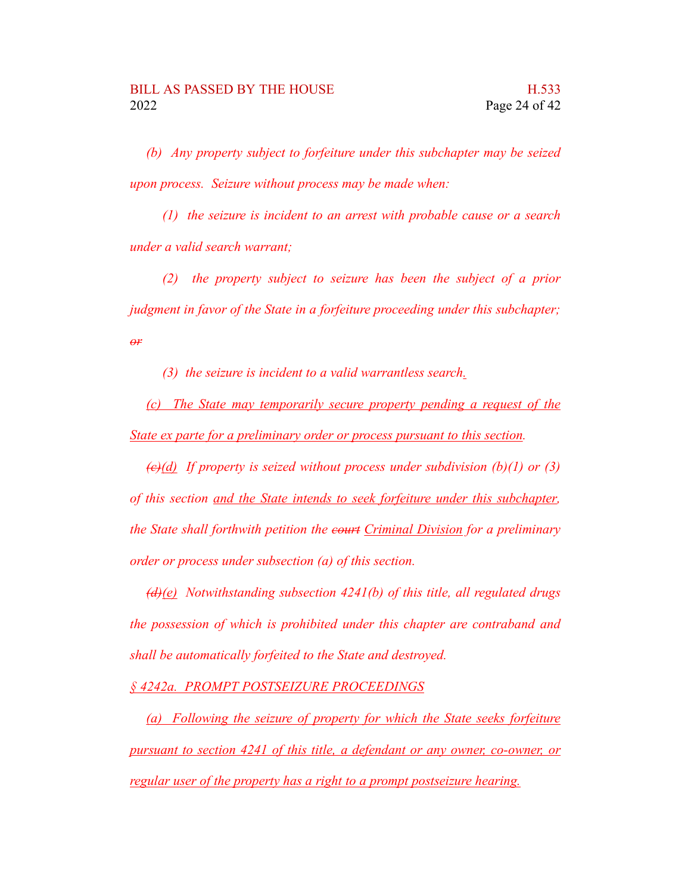*(b) Any property subject to forfeiture under this subchapter may be seized upon process. Seizure without process may be made when:*

*(1) the seizure is incident to an arrest with probable cause or a search under a valid search warrant;*

*(2) the property subject to seizure has been the subject of a prior judgment in favor of the State in a forfeiture proceeding under this subchapter; or*

*(3) the seizure is incident to a valid warrantless search.*

*(c) The State may temporarily secure property pending a request of the State ex parte for a preliminary order or process pursuant to this section.*

*(c)(d) If property is seized without process under subdivision (b)(1) or (3) of this section and the State intends to seek forfeiture under this subchapter, the State shall forthwith petition the court Criminal Division for a preliminary order or process under subsection (a) of this section.*

*(d)(e) Notwithstanding subsection 4241(b) of this title, all regulated drugs the possession of which is prohibited under this chapter are contraband and shall be automatically forfeited to the State and destroyed.*

*§ 4242a. PROMPT POSTSEIZURE PROCEEDINGS*

*(a) Following the seizure of property for which the State seeks forfeiture pursuant to section 4241 of this title, a defendant or any owner, co-owner, or regular user of the property has a right to a prompt postseizure hearing.*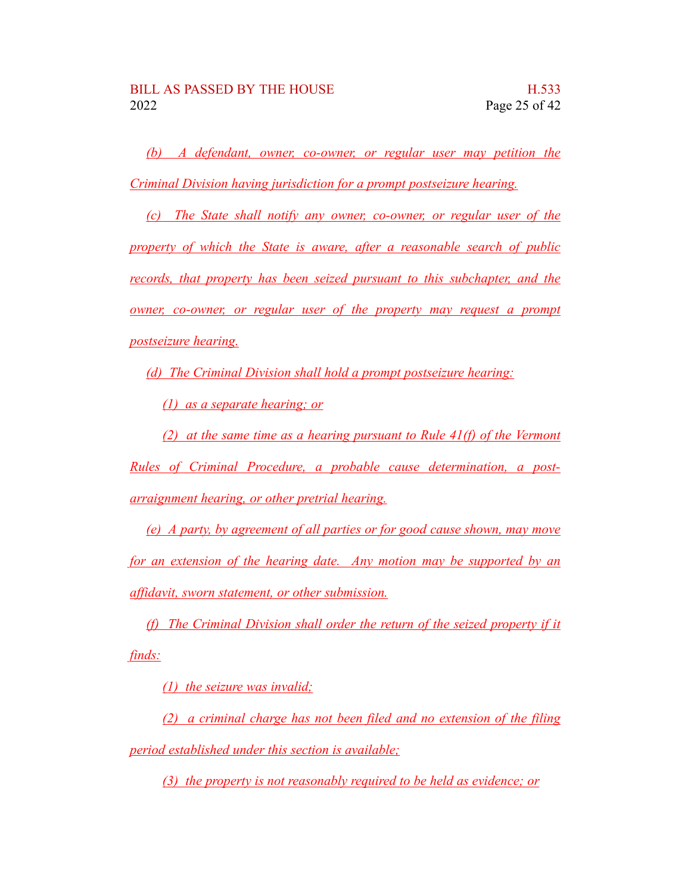*(b) A defendant, owner, co-owner, or regular user may petition the Criminal Division having jurisdiction for a prompt postseizure hearing.*

*(c) The State shall notify any owner, co-owner, or regular user of the property of which the State is aware, after a reasonable search of public records, that property has been seized pursuant to this subchapter, and the owner, co-owner, or regular user of the property may request a prompt postseizure hearing.*

*(d) The Criminal Division shall hold a prompt postseizure hearing:*

*(1) as a separate hearing; or*

*(2) at the same time as a hearing pursuant to Rule 41(f) of the Vermont Rules of Criminal Procedure, a probable cause determination, a postarraignment hearing, or other pretrial hearing.*

*(e) A party, by agreement of all parties or for good cause shown, may move for an extension of the hearing date. Any motion may be supported by an affidavit, sworn statement, or other submission.*

*(f) The Criminal Division shall order the return of the seized property if it finds:*

*(1) the seizure was invalid;*

*(2) a criminal charge has not been filed and no extension of the filing period established under this section is available;*

*(3) the property is not reasonably required to be held as evidence; or*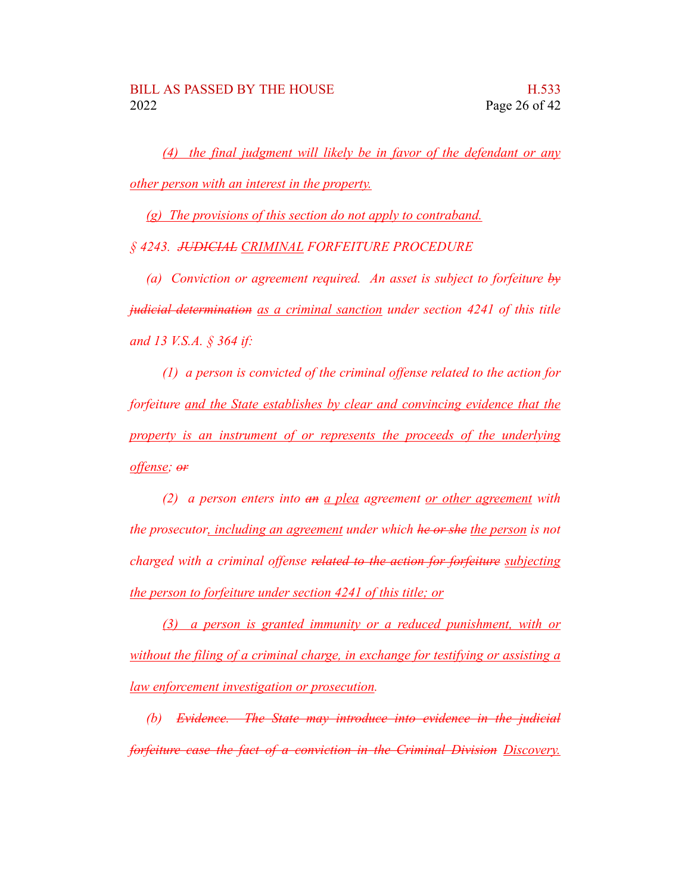*(4) the final judgment will likely be in favor of the defendant or any other person with an interest in the property.*

*(g) The provisions of this section do not apply to contraband.*

*§ 4243. JUDICIAL CRIMINAL FORFEITURE PROCEDURE*

*(a) Conviction or agreement required. An asset is subject to forfeiture by judicial determination as a criminal sanction under section 4241 of this title and 13 V.S.A. § 364 if:*

*(1) a person is convicted of the criminal offense related to the action for forfeiture and the State establishes by clear and convincing evidence that the property is an instrument of or represents the proceeds of the underlying offense; or*

*(2) a person enters into an a plea agreement or other agreement with the prosecutor, including an agreement under which he or she the person is not charged with a criminal offense related to the action for forfeiture subjecting the person to forfeiture under section 4241 of this title; or*

*(3) a person is granted immunity or a reduced punishment, with or without the filing of a criminal charge, in exchange for testifying or assisting a law enforcement investigation or prosecution.*

*(b) Evidence. The State may introduce into evidence in the judicial forfeiture case the fact of a conviction in the Criminal Division Discovery.*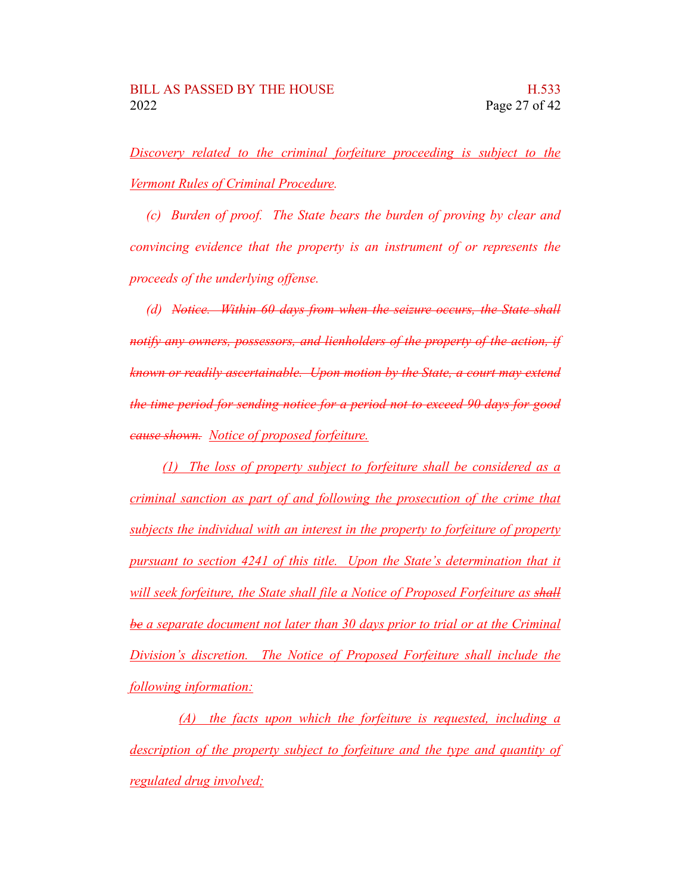*Discovery related to the criminal forfeiture proceeding is subject to the Vermont Rules of Criminal Procedure.*

*(c) Burden of proof. The State bears the burden of proving by clear and convincing evidence that the property is an instrument of or represents the proceeds of the underlying offense.*

*(d) Notice. Within 60 days from when the seizure occurs, the State shall notify any owners, possessors, and lienholders of the property of the action, if known or readily ascertainable. Upon motion by the State, a court may extend the time period for sending notice for a period not to exceed 90 days for good cause shown. Notice of proposed forfeiture.*

*(1) The loss of property subject to forfeiture shall be considered as a criminal sanction as part of and following the prosecution of the crime that subjects the individual with an interest in the property to forfeiture of property pursuant to section 4241 of this title. Upon the State's determination that it will seek forfeiture, the State shall file a Notice of Proposed Forfeiture as shall be a separate document not later than 30 days prior to trial or at the Criminal Division's discretion. The Notice of Proposed Forfeiture shall include the following information:*

*(A) the facts upon which the forfeiture is requested, including a description of the property subject to forfeiture and the type and quantity of regulated drug involved;*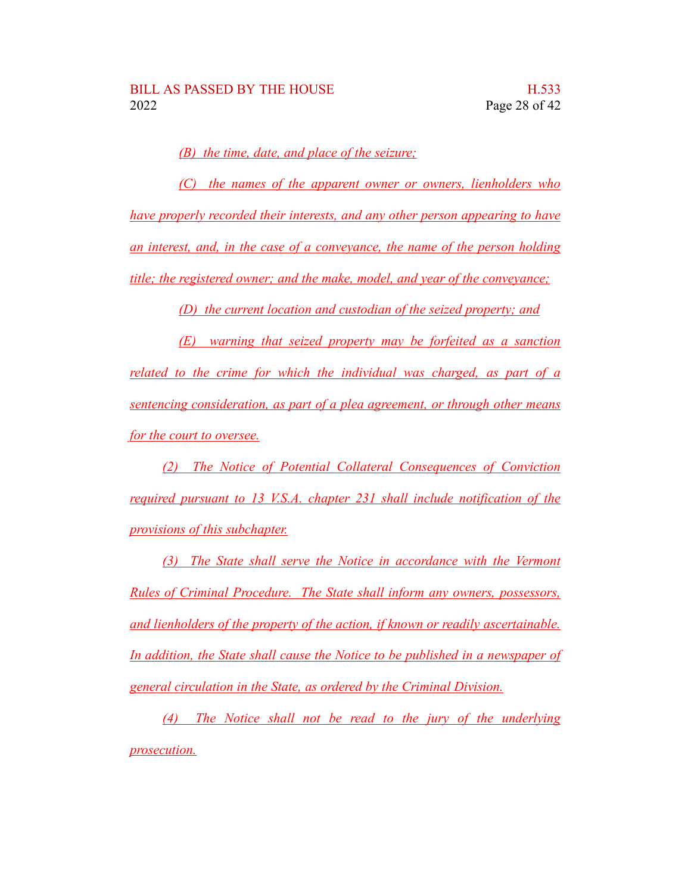*(B) the time, date, and place of the seizure;*

*(C) the names of the apparent owner or owners, lienholders who have properly recorded their interests, and any other person appearing to have an interest, and, in the case of a conveyance, the name of the person holding title; the registered owner; and the make, model, and year of the conveyance;*

*(D) the current location and custodian of the seized property; and*

*(E) warning that seized property may be forfeited as a sanction related to the crime for which the individual was charged, as part of a sentencing consideration, as part of a plea agreement, or through other means for the court to oversee.*

*(2) The Notice of Potential Collateral Consequences of Conviction required pursuant to 13 V.S.A. chapter 231 shall include notification of the provisions of this subchapter.*

*(3) The State shall serve the Notice in accordance with the Vermont Rules of Criminal Procedure. The State shall inform any owners, possessors, and lienholders of the property of the action, if known or readily ascertainable. In addition, the State shall cause the Notice to be published in a newspaper of general circulation in the State, as ordered by the Criminal Division.*

*(4) The Notice shall not be read to the jury of the underlying prosecution.*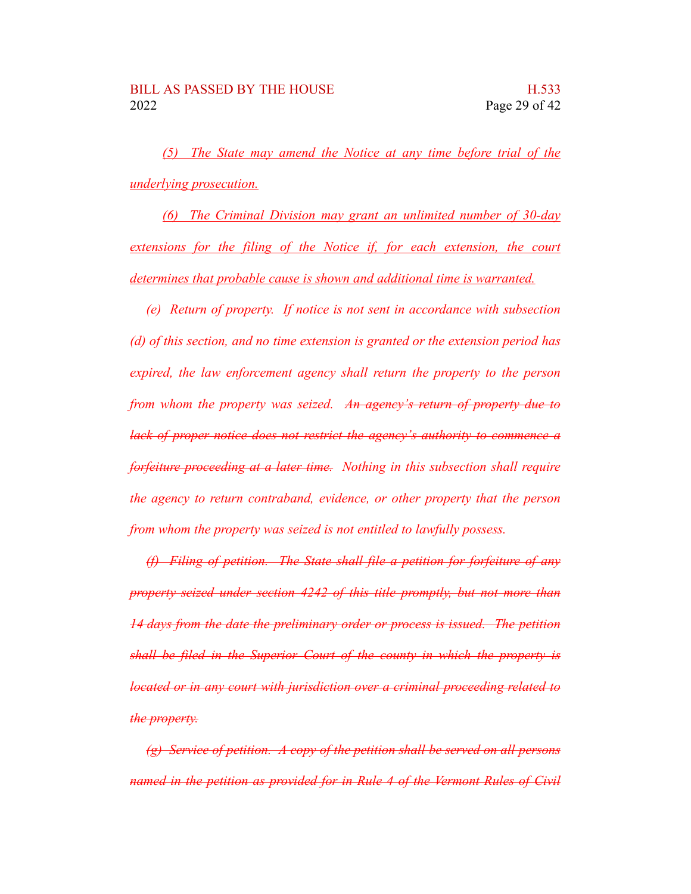*(5) The State may amend the Notice at any time before trial of the underlying prosecution.*

*(6) The Criminal Division may grant an unlimited number of 30-day extensions for the filing of the Notice if, for each extension, the court determines that probable cause is shown and additional time is warranted.*

*(e) Return of property. If notice is not sent in accordance with subsection (d) of this section, and no time extension is granted or the extension period has expired, the law enforcement agency shall return the property to the person from whom the property was seized. An agency's return of property due to lack of proper notice does not restrict the agency's authority to commence a forfeiture proceeding at a later time. Nothing in this subsection shall require the agency to return contraband, evidence, or other property that the person from whom the property was seized is not entitled to lawfully possess.*

*(f) Filing of petition. The State shall file a petition for forfeiture of any property seized under section 4242 of this title promptly, but not more than 14 days from the date the preliminary order or process is issued. The petition shall be filed in the Superior Court of the county in which the property is located or in any court with jurisdiction over a criminal proceeding related to the property.*

*(g) Service of petition. A copy of the petition shall be served on all persons named in the petition as provided for in Rule 4 of the Vermont Rules of Civil*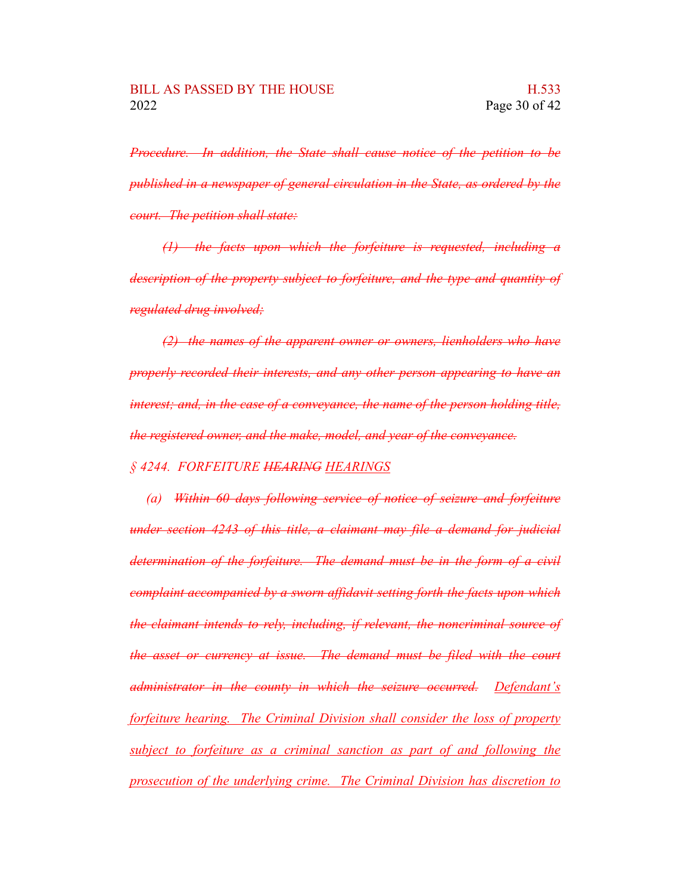*Procedure. In addition, the State shall cause notice of the petition to be published in a newspaper of general circulation in the State, as ordered by the court. The petition shall state:*

*(1) the facts upon which the forfeiture is requested, including a description of the property subject to forfeiture, and the type and quantity of regulated drug involved;*

*(2) the names of the apparent owner or owners, lienholders who have properly recorded their interests, and any other person appearing to have an interest; and, in the case of a conveyance, the name of the person holding title, the registered owner, and the make, model, and year of the conveyance.*

*§ 4244. FORFEITURE HEARING HEARINGS*

*(a) Within 60 days following service of notice of seizure and forfeiture under section 4243 of this title, a claimant may file a demand for judicial determination of the forfeiture. The demand must be in the form of a civil complaint accompanied by a sworn affidavit setting forth the facts upon which the claimant intends to rely, including, if relevant, the noncriminal source of the asset or currency at issue. The demand must be filed with the court administrator in the county in which the seizure occurred. Defendant's forfeiture hearing. The Criminal Division shall consider the loss of property subject to forfeiture as a criminal sanction as part of and following the prosecution of the underlying crime. The Criminal Division has discretion to*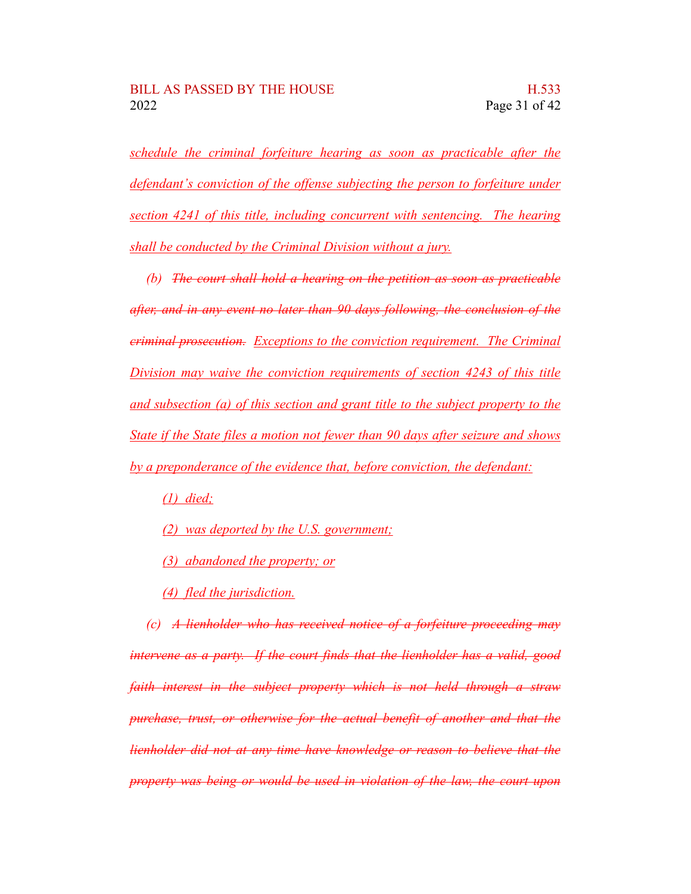*schedule the criminal forfeiture hearing as soon as practicable after the defendant's conviction of the offense subjecting the person to forfeiture under section 4241 of this title, including concurrent with sentencing. The hearing shall be conducted by the Criminal Division without a jury.*

*(b) The court shall hold a hearing on the petition as soon as practicable after, and in any event no later than 90 days following, the conclusion of the criminal prosecution. Exceptions to the conviction requirement. The Criminal Division may waive the conviction requirements of section 4243 of this title and subsection (a) of this section and grant title to the subject property to the State if the State files a motion not fewer than 90 days after seizure and shows by a preponderance of the evidence that, before conviction, the defendant:*

*(1) died;*

- *(2) was deported by the U.S. government;*
- *(3) abandoned the property; or*
- *(4) fled the jurisdiction.*

*(c) A lienholder who has received notice of a forfeiture proceeding may intervene as a party. If the court finds that the lienholder has a valid, good faith interest in the subject property which is not held through a straw purchase, trust, or otherwise for the actual benefit of another and that the lienholder did not at any time have knowledge or reason to believe that the property was being or would be used in violation of the law, the court upon*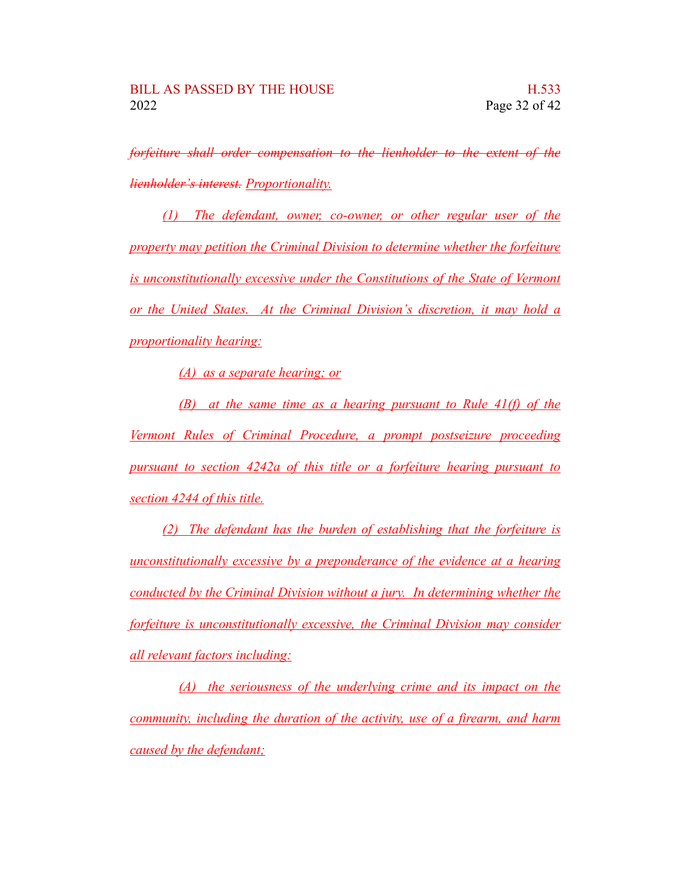*forfeiture shall order compensation to the lienholder to the extent of the lienholder's interest. Proportionality.*

*(1) The defendant, owner, co-owner, or other regular user of the property may petition the Criminal Division to determine whether the forfeiture is unconstitutionally excessive under the Constitutions of the State of Vermont or the United States. At the Criminal Division's discretion, it may hold a proportionality hearing:*

*(A) as a separate hearing; or*

*(B) at the same time as a hearing pursuant to Rule 41(f) of the Vermont Rules of Criminal Procedure, a prompt postseizure proceeding pursuant to section 4242a of this title or a forfeiture hearing pursuant to section 4244 of this title.*

*(2) The defendant has the burden of establishing that the forfeiture is unconstitutionally excessive by a preponderance of the evidence at a hearing conducted by the Criminal Division without a jury. In determining whether the forfeiture is unconstitutionally excessive, the Criminal Division may consider all relevant factors including:*

*(A) the seriousness of the underlying crime and its impact on the community, including the duration of the activity, use of a firearm, and harm caused by the defendant;*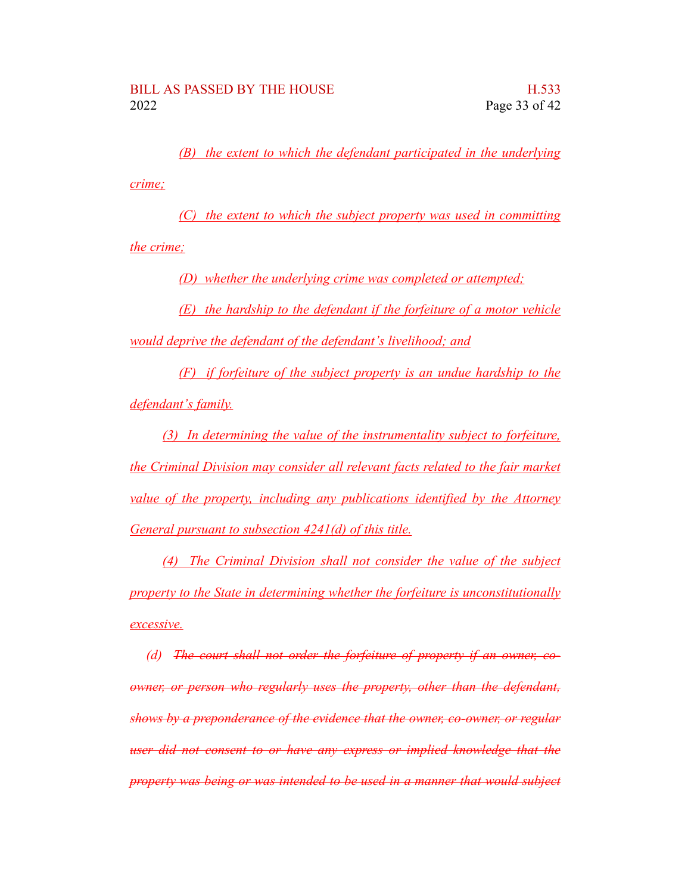*(B) the extent to which the defendant participated in the underlying crime;*

*(C) the extent to which the subject property was used in committing the crime;*

*(D) whether the underlying crime was completed or attempted;*

*(E) the hardship to the defendant if the forfeiture of a motor vehicle would deprive the defendant of the defendant's livelihood; and*

*(F) if forfeiture of the subject property is an undue hardship to the defendant's family.*

*(3) In determining the value of the instrumentality subject to forfeiture, the Criminal Division may consider all relevant facts related to the fair market value of the property, including any publications identified by the Attorney General pursuant to subsection 4241(d) of this title.*

*(4) The Criminal Division shall not consider the value of the subject property to the State in determining whether the forfeiture is unconstitutionally excessive.*

*(d) The court shall not order the forfeiture of property if an owner, coowner, or person who regularly uses the property, other than the defendant, shows by a preponderance of the evidence that the owner, co-owner, or regular user did not consent to or have any express or implied knowledge that the property was being or was intended to be used in a manner that would subject*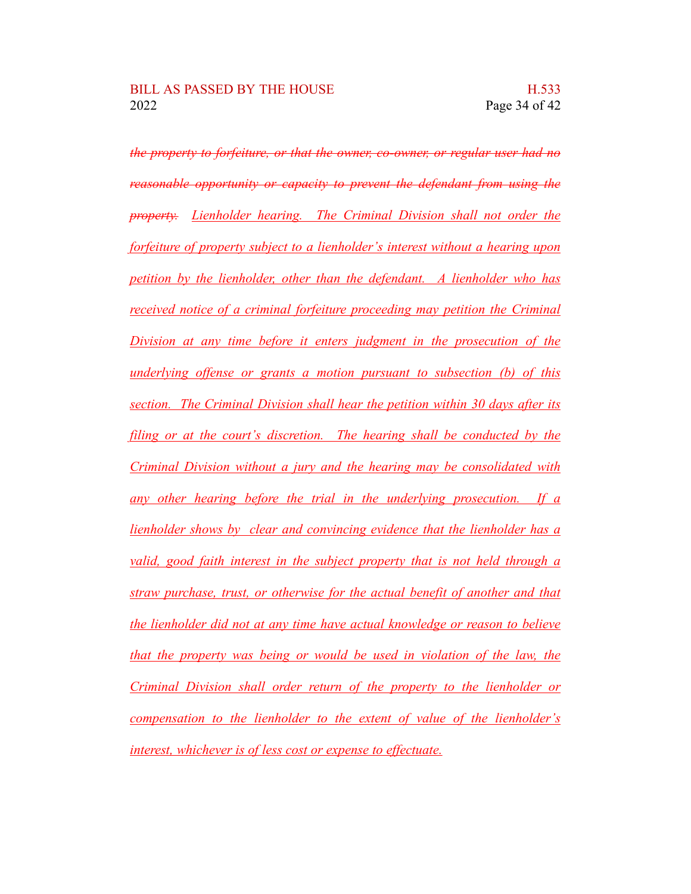*the property to forfeiture, or that the owner, co-owner, or regular user had no reasonable opportunity or capacity to prevent the defendant from using the property. Lienholder hearing. The Criminal Division shall not order the forfeiture of property subject to a lienholder's interest without a hearing upon petition by the lienholder, other than the defendant. A lienholder who has received notice of a criminal forfeiture proceeding may petition the Criminal Division at any time before it enters judgment in the prosecution of the underlying offense or grants a motion pursuant to subsection (b) of this section. The Criminal Division shall hear the petition within 30 days after its filing or at the court's discretion. The hearing shall be conducted by the Criminal Division without a jury and the hearing may be consolidated with any other hearing before the trial in the underlying prosecution. If a lienholder shows by clear and convincing evidence that the lienholder has a valid, good faith interest in the subject property that is not held through a straw purchase, trust, or otherwise for the actual benefit of another and that the lienholder did not at any time have actual knowledge or reason to believe that the property was being or would be used in violation of the law, the Criminal Division shall order return of the property to the lienholder or compensation to the lienholder to the extent of value of the lienholder's interest, whichever is of less cost or expense to effectuate.*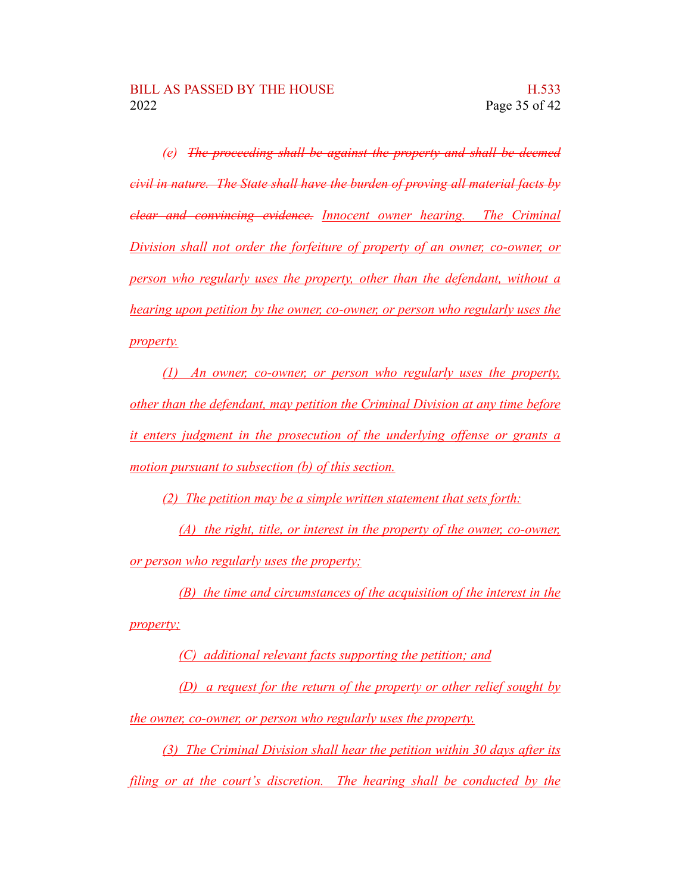*(e) The proceeding shall be against the property and shall be deemed civil in nature. The State shall have the burden of proving all material facts by clear and convincing evidence. Innocent owner hearing. The Criminal Division shall not order the forfeiture of property of an owner, co-owner, or person who regularly uses the property, other than the defendant, without a hearing upon petition by the owner, co-owner, or person who regularly uses the property.*

*(1) An owner, co-owner, or person who regularly uses the property, other than the defendant, may petition the Criminal Division at any time before it enters judgment in the prosecution of the underlying offense or grants a motion pursuant to subsection (b) of this section.*

*(2) The petition may be a simple written statement that sets forth:*

*(A) the right, title, or interest in the property of the owner, co-owner, or person who regularly uses the property;*

*(B) the time and circumstances of the acquisition of the interest in the property;*

*(C) additional relevant facts supporting the petition; and*

*(D) a request for the return of the property or other relief sought by the owner, co-owner, or person who regularly uses the property.*

*(3) The Criminal Division shall hear the petition within 30 days after its filing or at the court's discretion. The hearing shall be conducted by the*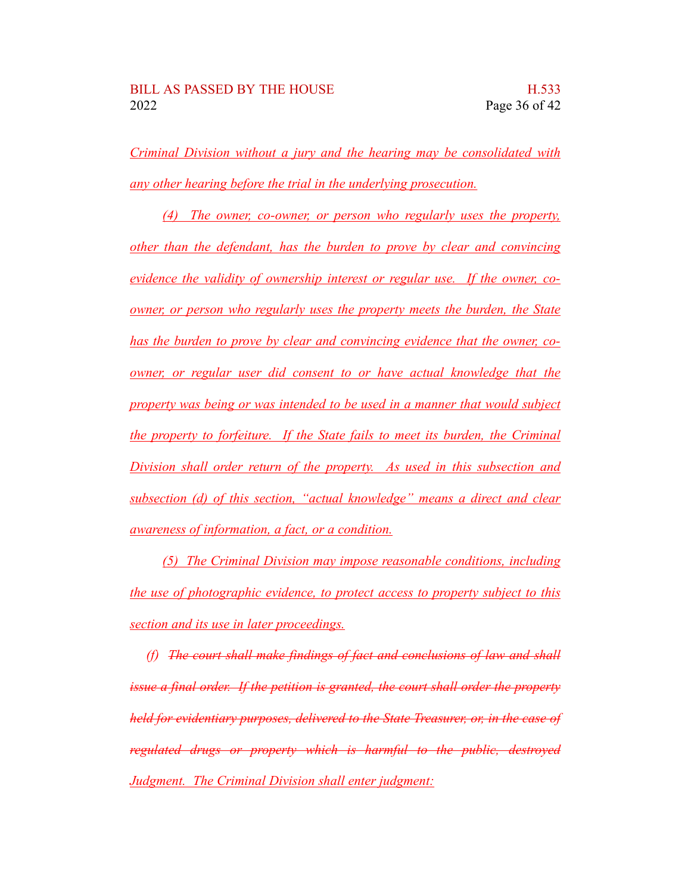*Criminal Division without a jury and the hearing may be consolidated with any other hearing before the trial in the underlying prosecution.*

*(4) The owner, co-owner, or person who regularly uses the property, other than the defendant, has the burden to prove by clear and convincing evidence the validity of ownership interest or regular use. If the owner, coowner, or person who regularly uses the property meets the burden, the State has the burden to prove by clear and convincing evidence that the owner, coowner, or regular user did consent to or have actual knowledge that the property was being or was intended to be used in a manner that would subject the property to forfeiture. If the State fails to meet its burden, the Criminal Division shall order return of the property. As used in this subsection and subsection (d) of this section, "actual knowledge" means a direct and clear awareness of information, a fact, or a condition.*

*(5) The Criminal Division may impose reasonable conditions, including the use of photographic evidence, to protect access to property subject to this section and its use in later proceedings.*

*(f) The court shall make findings of fact and conclusions of law and shall issue a final order. If the petition is granted, the court shall order the property held for evidentiary purposes, delivered to the State Treasurer, or, in the case of regulated drugs or property which is harmful to the public, destroyed Judgment. The Criminal Division shall enter judgment:*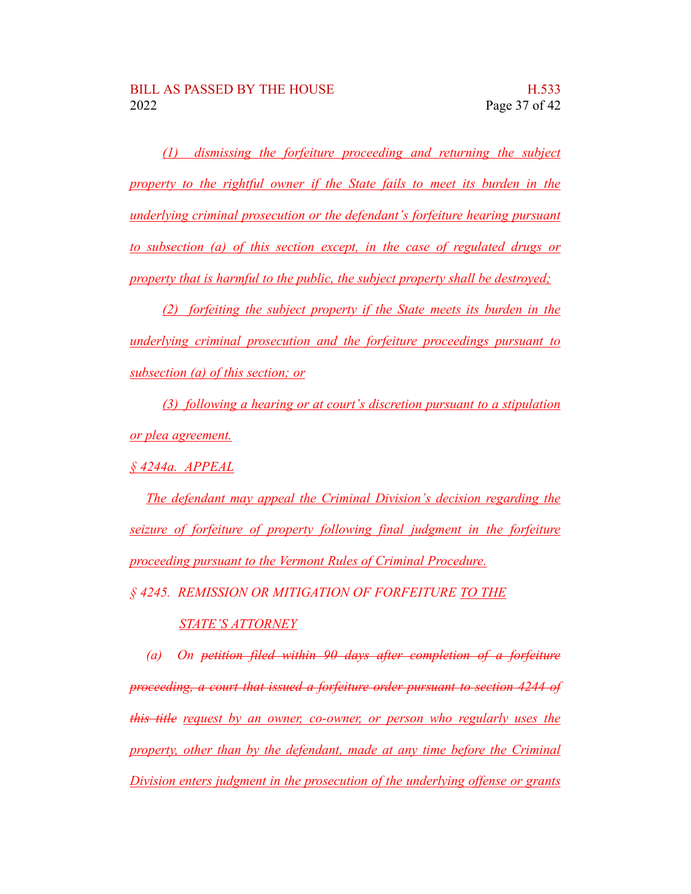*(1) dismissing the forfeiture proceeding and returning the subject property to the rightful owner if the State fails to meet its burden in the underlying criminal prosecution or the defendant's forfeiture hearing pursuant to subsection (a) of this section except, in the case of regulated drugs or property that is harmful to the public, the subject property shall be destroyed;*

*(2) forfeiting the subject property if the State meets its burden in the underlying criminal prosecution and the forfeiture proceedings pursuant to subsection (a) of this section; or*

*(3) following a hearing or at court's discretion pursuant to a stipulation or plea agreement.*

*§ 4244a. APPEAL*

*The defendant may appeal the Criminal Division's decision regarding the seizure of forfeiture of property following final judgment in the forfeiture proceeding pursuant to the Vermont Rules of Criminal Procedure.*

*§ 4245. REMISSION OR MITIGATION OF FORFEITURE TO THE*

#### *STATE'S ATTORNEY*

*(a) On petition filed within 90 days after completion of a forfeiture proceeding, a court that issued a forfeiture order pursuant to section 4244 of this title request by an owner, co-owner, or person who regularly uses the property, other than by the defendant, made at any time before the Criminal Division enters judgment in the prosecution of the underlying offense or grants*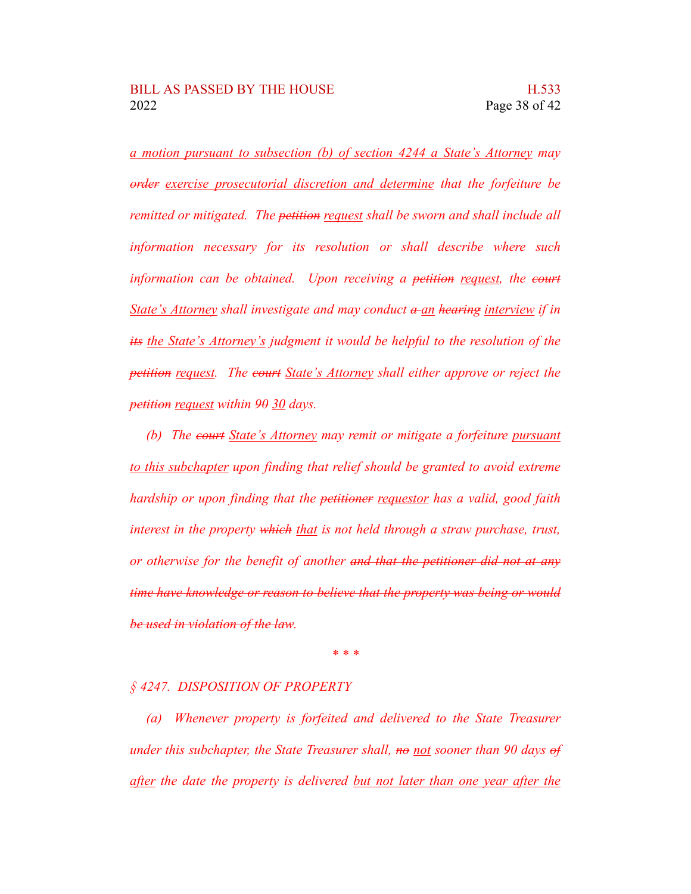*a motion pursuant to subsection (b) of section 4244 a State's Attorney may order exercise prosecutorial discretion and determine that the forfeiture be remitted or mitigated. The petition request shall be sworn and shall include all information necessary for its resolution or shall describe where such information can be obtained. Upon receiving a petition request, the court State's Attorney shall investigate and may conduct a an hearing interview if in its the State's Attorney's judgment it would be helpful to the resolution of the petition request. The court State's Attorney shall either approve or reject the petition request within 90 30 days.*

*(b) The court State's Attorney may remit or mitigate a forfeiture pursuant to this subchapter upon finding that relief should be granted to avoid extreme hardship or upon finding that the petitioner requestor has a valid, good faith interest in the property which that is not held through a straw purchase, trust, or otherwise for the benefit of another and that the petitioner did not at any time have knowledge or reason to believe that the property was being or would be used in violation of the law.*

*\* \* \**

#### *§ 4247. DISPOSITION OF PROPERTY*

*(a) Whenever property is forfeited and delivered to the State Treasurer under this subchapter, the State Treasurer shall, no not sooner than 90 days of after the date the property is delivered but not later than one year after the*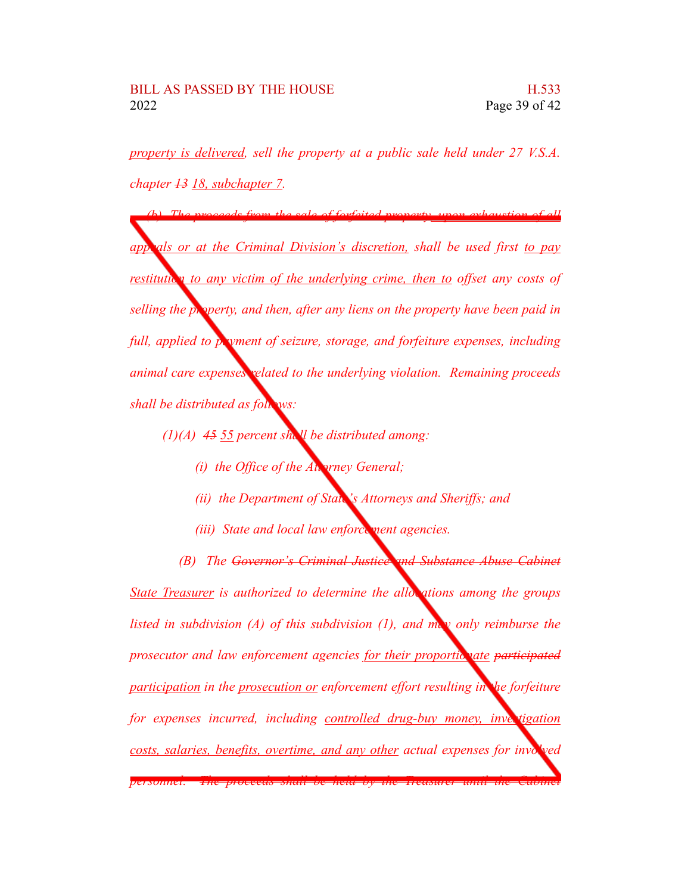*property is delivered, sell the property at a public sale held under 27 V.S.A. chapter 13 18, subchapter 7.*

*(b) The proceeds from the sale of forfeited property, upon exhaustion of all appeals or at the Criminal Division's discretion, shall be used first to pay restitution to any victim of the underlying crime, then to offset any costs of selling the property, and then, after any liens on the property have been paid in full, applied to payment of seizure, storage, and forfeiture expenses, including animal care expenses related to the underlying violation. Remaining proceeds shall be distributed as follows:*

- *(1)(A) 45 55 percent shall be distributed among:*
	- *(i) the Office of the Attorney General;*
	- *(ii) the Department of State's Attorneys and Sheriffs; and*
	- *(iii) State and local law enforce ment agencies.*

*(B) The Governor's Criminal Justice and Substance Abuse Cabinet State Treasurer is authorized to determine the allocations among the groups listed in subdivision (A) of this subdivision (1), and may only reimburse the prosecutor* and law enforcement agencies for their proportionate participated *participation in the prosecution or enforcement effort resulting in the forfeiture for expenses incurred, including controlled drug-buy money, investigation costs, salaries, benefits, overtime, and any other actual expenses for involved personnel. The proceeds shall be held by the Treasurer until the Cabinet*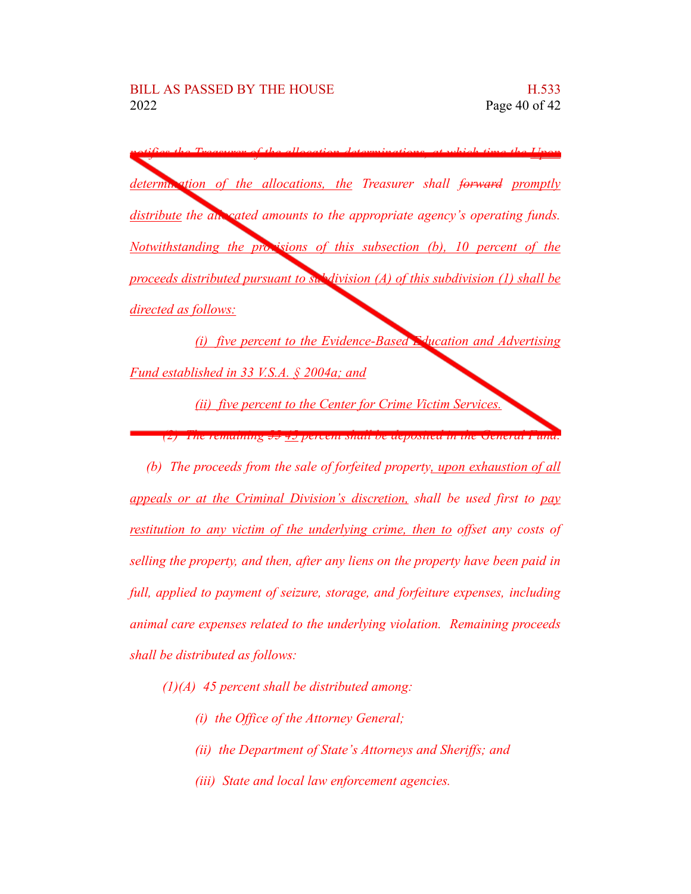*notifies the Treasurer of the allocation determinations, at which time the Upon determination of the allocations, the Treasurer shall forward promptly distribute the allocated amounts to the appropriate agency's operating funds. Notwithstanding the provisions of this subsection (b), 10 percent of the proceeds distributed pursuant to subdivision (A) of this subdivision (1) shall be directed as follows:*

*(i) five percent to the Evidence-Based Education and Advertising Fund established in 33 V.S.A. § 2004a; and*

*(ii) five percent to the Center for Crime Victim Services.*

*(2) The remaining 55 45 percent shall be deposited in the General Fund.*

*(b) The proceeds from the sale of forfeited property, upon exhaustion of all appeals or at the Criminal Division's discretion, shall be used first to pay restitution to any victim of the underlying crime, then to offset any costs of selling the property, and then, after any liens on the property have been paid in full, applied to payment of seizure, storage, and forfeiture expenses, including animal care expenses related to the underlying violation. Remaining proceeds shall be distributed as follows:*

- *(1)(A) 45 percent shall be distributed among:*
	- *(i) the Office of the Attorney General;*
	- *(ii) the Department of State's Attorneys and Sheriffs; and*
	- *(iii) State and local law enforcement agencies.*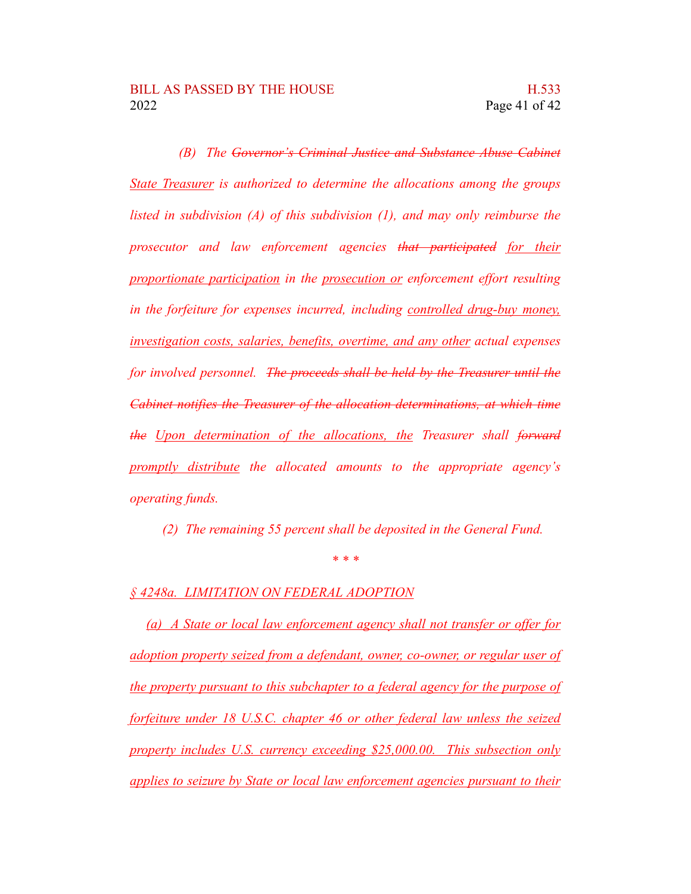*(B) The Governor's Criminal Justice and Substance Abuse Cabinet State Treasurer is authorized to determine the allocations among the groups listed in subdivision (A) of this subdivision (1), and may only reimburse the prosecutor and law enforcement agencies that participated for their proportionate participation in the prosecution or enforcement effort resulting in the forfeiture for expenses incurred, including controlled drug-buy money, investigation costs, salaries, benefits, overtime, and any other actual expenses for involved personnel. The proceeds shall be held by the Treasurer until the Cabinet notifies the Treasurer of the allocation determinations, at which time the Upon determination of the allocations, the Treasurer shall forward promptly distribute the allocated amounts to the appropriate agency's operating funds.*

*(2) The remaining 55 percent shall be deposited in the General Fund.*

*\* \* \**

*§ 4248a. LIMITATION ON FEDERAL ADOPTION*

*(a) A State or local law enforcement agency shall not transfer or offer for adoption property seized from a defendant, owner, co-owner, or regular user of the property pursuant to this subchapter to a federal agency for the purpose of forfeiture under 18 U.S.C. chapter 46 or other federal law unless the seized property includes U.S. currency exceeding \$25,000.00. This subsection only applies to seizure by State or local law enforcement agencies pursuant to their*